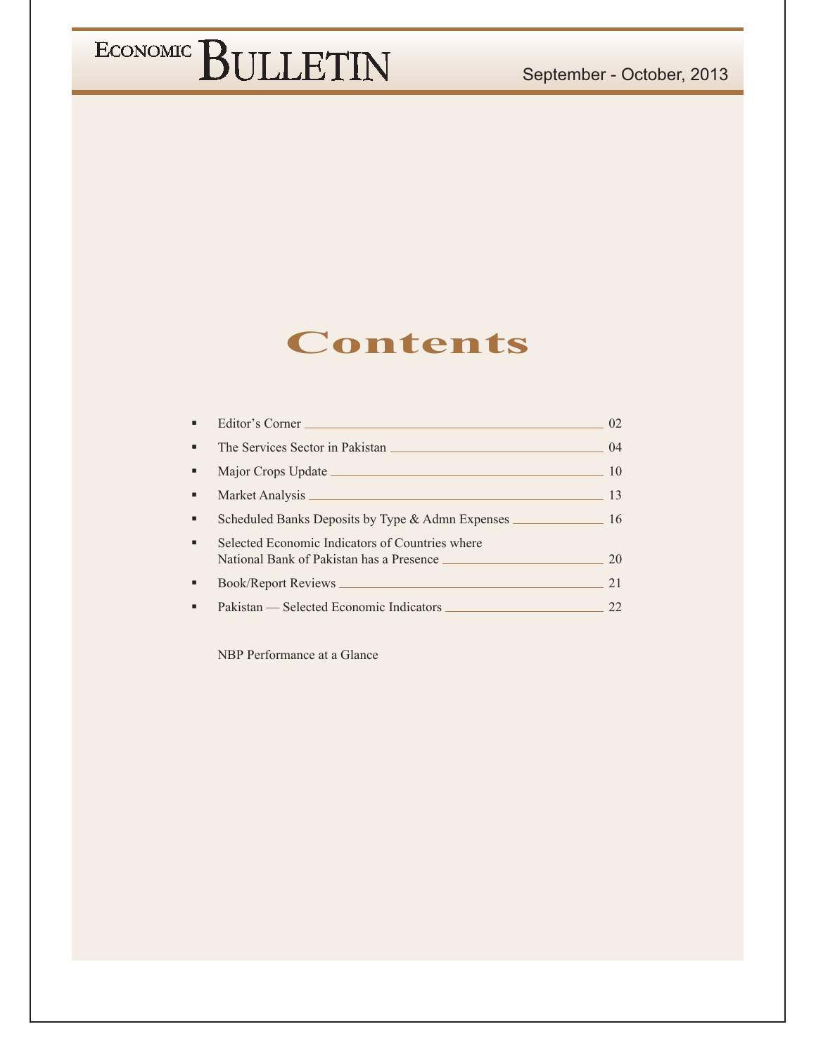### September - October, 2013

## ECONOMIC BULLETIN

### **Contents**

|                | Editor's Corner                                                                             | 02 |
|----------------|---------------------------------------------------------------------------------------------|----|
| $\blacksquare$ | The Services Sector in Pakistan                                                             | 04 |
| ٠              | Major Crops Update Lawrence and the Major Crops Update                                      | 10 |
| ٠              |                                                                                             | 13 |
| ٠              | Scheduled Banks Deposits by Type & Admn Expenses                                            | 16 |
| $\blacksquare$ | Selected Economic Indicators of Countries where<br>National Bank of Pakistan has a Presence | 20 |
| ٠              |                                                                                             | 21 |
|                |                                                                                             |    |

NBP Performance at a Glance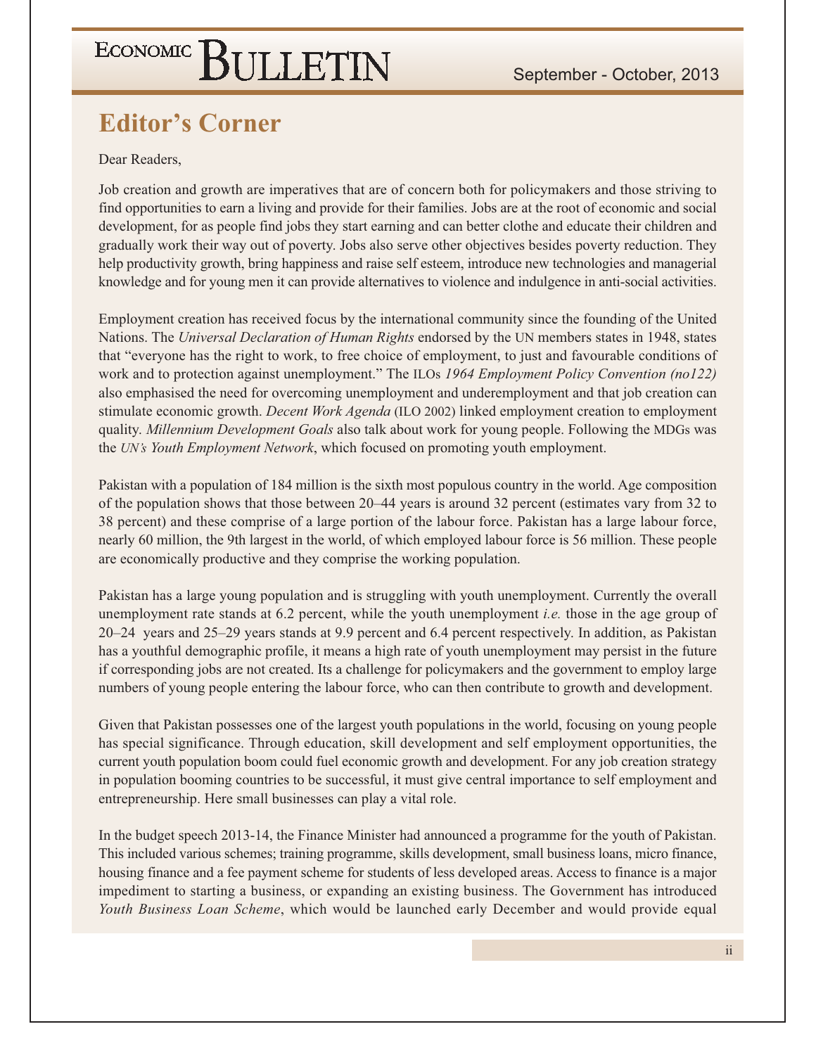### **Editor's Corner**

Dear Readers.

Job creation and growth are imperatives that are of concern both for policymakers and those striving to find opportunities to earn a living and provide for their families. Jobs are at the root of economic and social development, for as people find jobs they start earning and can better clothe and educate their children and gradually work their way out of poverty. Jobs also serve other objectives besides poverty reduction. They help productivity growth, bring happiness and raise self esteem, introduce new technologies and managerial knowledge and for young men it can provide alternatives to violence and indulgence in anti-social activities.

Employment creation has received focus by the international community since the founding of the United Nations. The Universal Declaration of Human Rights endorsed by the UN members states in 1948, states that "everyone has the right to work, to free choice of employment, to just and favourable conditions of work and to protection against unemployment." The ILOs 1964 Employment Policy Convention (no122) also emphasised the need for overcoming unemployment and underemployment and that job creation can stimulate economic growth. *Decent Work Agenda* (ILO 2002) linked employment creation to employment quality. Millennium Development Goals also talk about work for young people. Following the MDGs was the UN's Youth Employment Network, which focused on promoting youth employment.

Pakistan with a population of 184 million is the sixth most populous country in the world. Age composition of the population shows that those between 20–44 years is around 32 percent (estimates vary from 32 to 38 percent) and these comprise of a large portion of the labour force. Pakistan has a large labour force, nearly 60 million, the 9th largest in the world, of which employed labour force is 56 million. These people are economically productive and they comprise the working population.

Pakistan has a large young population and is struggling with youth unemployment. Currently the overall unemployment rate stands at 6.2 percent, while the youth unemployment *i.e.* those in the age group of 20–24 years and 25–29 years stands at 9.9 percent and 6.4 percent respectively. In addition, as Pakistan has a youthful demographic profile, it means a high rate of youth unemployment may persist in the future if corresponding jobs are not created. Its a challenge for policymakers and the government to employ large numbers of young people entering the labour force, who can then contribute to growth and development.

Given that Pakistan possesses one of the largest youth populations in the world, focusing on young people has special significance. Through education, skill development and self employment opportunities, the current youth population boom could fuel economic growth and development. For any job creation strategy in population booming countries to be successful, it must give central importance to self employment and entrepreneurship. Here small businesses can play a vital role.

In the budget speech 2013-14, the Finance Minister had announced a programme for the youth of Pakistan. This included various schemes; training programme, skills development, small business loans, micro finance, housing finance and a fee payment scheme for students of less developed areas. Access to finance is a major impediment to starting a business, or expanding an existing business. The Government has introduced Youth Business Loan Scheme, which would be launched early December and would provide equal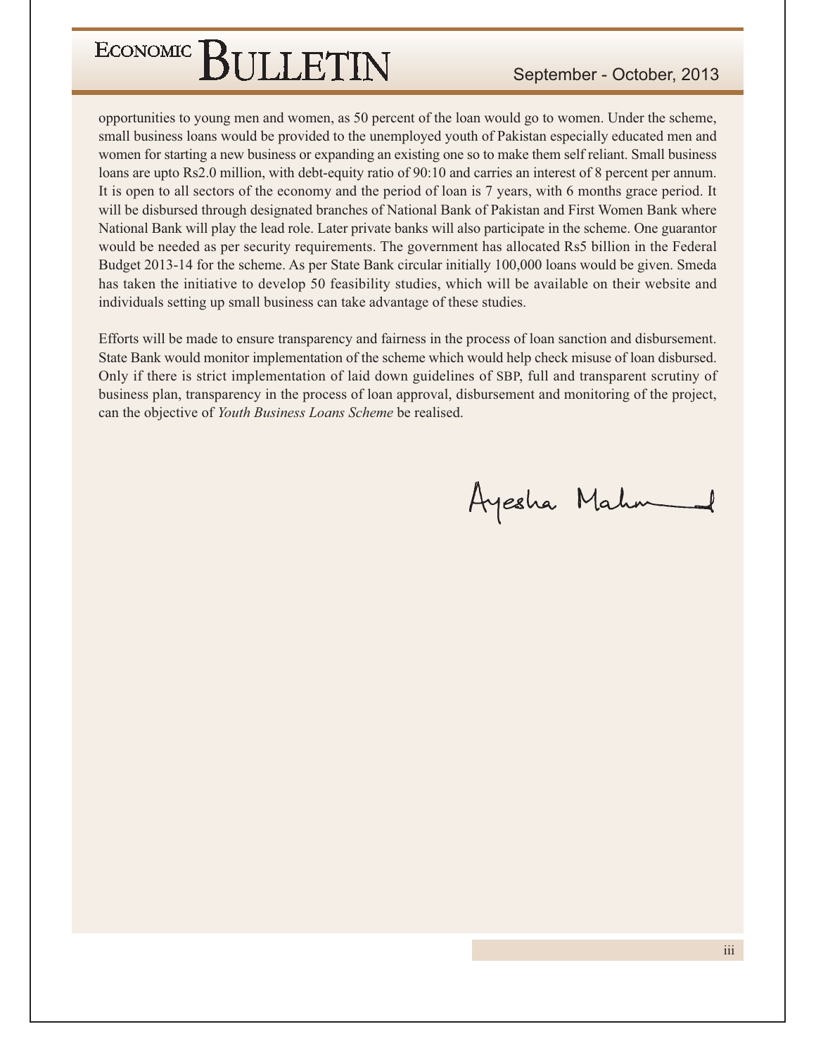### September - October, 2013

opportunities to young men and women, as 50 percent of the loan would go to women. Under the scheme, small business loans would be provided to the unemployed youth of Pakistan especially educated men and women for starting a new business or expanding an existing one so to make them self reliant. Small business loans are upto Rs2.0 million, with debt-equity ratio of 90:10 and carries an interest of 8 percent per annum. It is open to all sectors of the economy and the period of loan is 7 years, with 6 months grace period. It will be disbursed through designated branches of National Bank of Pakistan and First Women Bank where National Bank will play the lead role. Later private banks will also participate in the scheme. One guarantor would be needed as per security requirements. The government has allocated Rs5 billion in the Federal Budget 2013-14 for the scheme. As per State Bank circular initially 100,000 loans would be given. Smeda has taken the initiative to develop 50 feasibility studies, which will be available on their website and individuals setting up small business can take advantage of these studies.

Efforts will be made to ensure transparency and fairness in the process of loan sanction and disbursement. State Bank would monitor implementation of the scheme which would help check misuse of loan disbursed. Only if there is strict implementation of laid down guidelines of SBP, full and transparent scrutiny of business plan, transparency in the process of loan approval, disbursement and monitoring of the project, can the objective of Youth Business Loans Scheme be realised.

Ayesha Mahm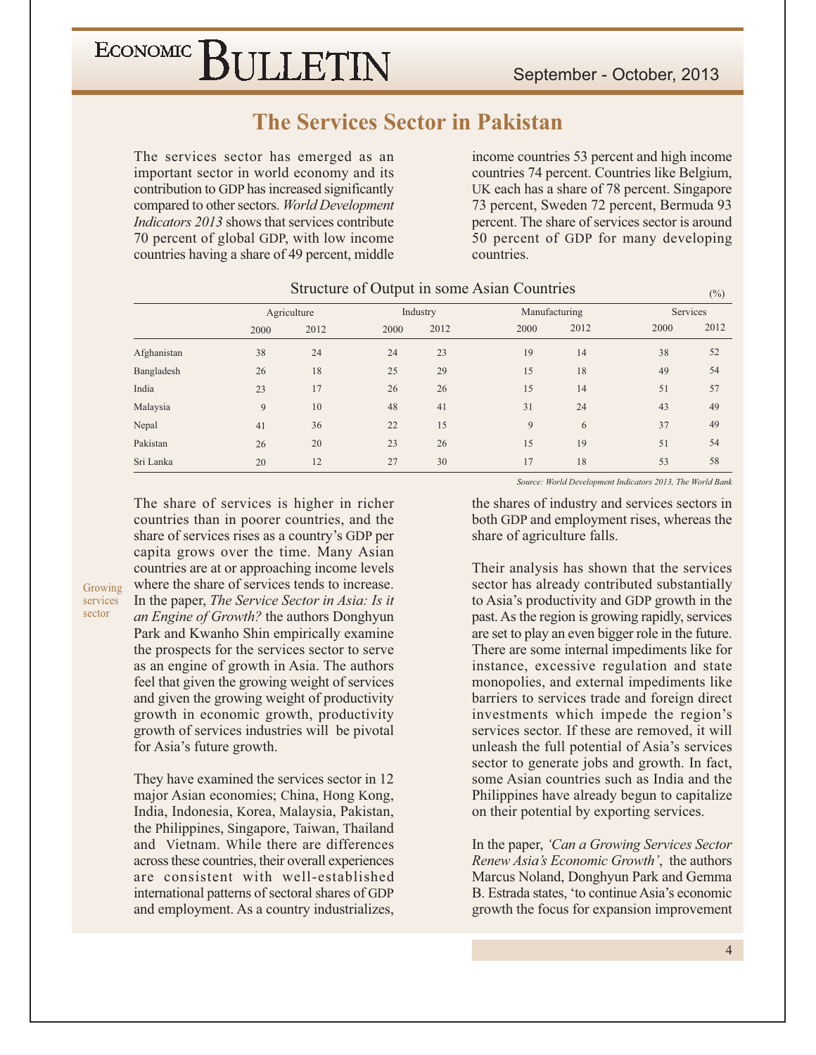### **The Services Sector in Pakistan**

The services sector has emerged as an important sector in world economy and its contribution to GDP has increased significantly compared to other sectors. World Development *Indicators 2013* shows that services contribute 70 percent of global GDP, with low income countries having a share of 49 percent, middle

income countries 53 percent and high income countries 74 percent. Countries like Belgium, UK each has a share of 78 percent. Singapore 73 percent, Sweden 72 percent, Bermuda 93 percent. The share of services sector is around 50 percent of GDP for many developing countries.

|             |      | Agriculture |      | Industry | Manufacturing |      | Services |      |
|-------------|------|-------------|------|----------|---------------|------|----------|------|
|             | 2000 | 2012        | 2000 | 2012     | 2000          | 2012 | 2000     | 2012 |
| Afghanistan | 38   | 24          | 24   | 23       | 19            | 14   | 38       | 52   |
| Bangladesh  | 26   | 18          | 25   | 29       | 15            | 18   | 49       | 54   |
| India       | 23   | 17          | 26   | 26       | 15            | 14   | 51       | 57   |
| Malaysia    | 9    | 10          | 48   | 41       | 31            | 24   | 43       | 49   |
| Nepal       | 41   | 36          | 22   | 15       | 9             | 6    | 37       | 49   |
| Pakistan    | 26   | 20          | 23   | 26       | 15            | 19   | 51       | 54   |
| Sri Lanka   | 20   | 12          | 27   | 30       | 17            | 18   | 53       | 58   |

#### Structure of Output in some Asian Countries

The share of services is higher in richer countries than in poorer countries, and the share of services rises as a country's GDP per capita grows over the time. Many Asian countries are at or approaching income levels where the share of services tends to increase. In the paper, The Service Sector in Asia: Is it an Engine of Growth? the authors Donghyun Park and Kwanho Shin empirically examine the prospects for the services sector to serve as an engine of growth in Asia. The authors feel that given the growing weight of services and given the growing weight of productivity growth in economic growth, productivity growth of services industries will be pivotal for Asia's future growth.

Growing

services sector

> They have examined the services sector in 12 major Asian economies; China, Hong Kong, India, Indonesia, Korea, Malaysia, Pakistan, the Philippines, Singapore, Taiwan, Thailand and Vietnam. While there are differences across these countries, their overall experiences are consistent with well-established international patterns of sectoral shares of GDP and employment. As a country industrializes,

Source: World Development Indicators 2013, The World Bank

 $(0/6)$ 

the shares of industry and services sectors in both GDP and employment rises, whereas the share of agriculture falls.

Their analysis has shown that the services sector has already contributed substantially to Asia's productivity and GDP growth in the past. As the region is growing rapidly, services are set to play an even bigger role in the future. There are some internal impediments like for instance, excessive regulation and state monopolies, and external impediments like barriers to services trade and foreign direct investments which impede the region's services sector. If these are removed, it will unleash the full potential of Asia's services sector to generate jobs and growth. In fact, some Asian countries such as India and the Philippines have already begun to capitalize on their potential by exporting services.

In the paper, 'Can a Growing Services Sector Renew Asia's Economic Growth', the authors Marcus Noland, Donghyun Park and Gemma B. Estrada states, 'to continue Asia's economic growth the focus for expansion improvement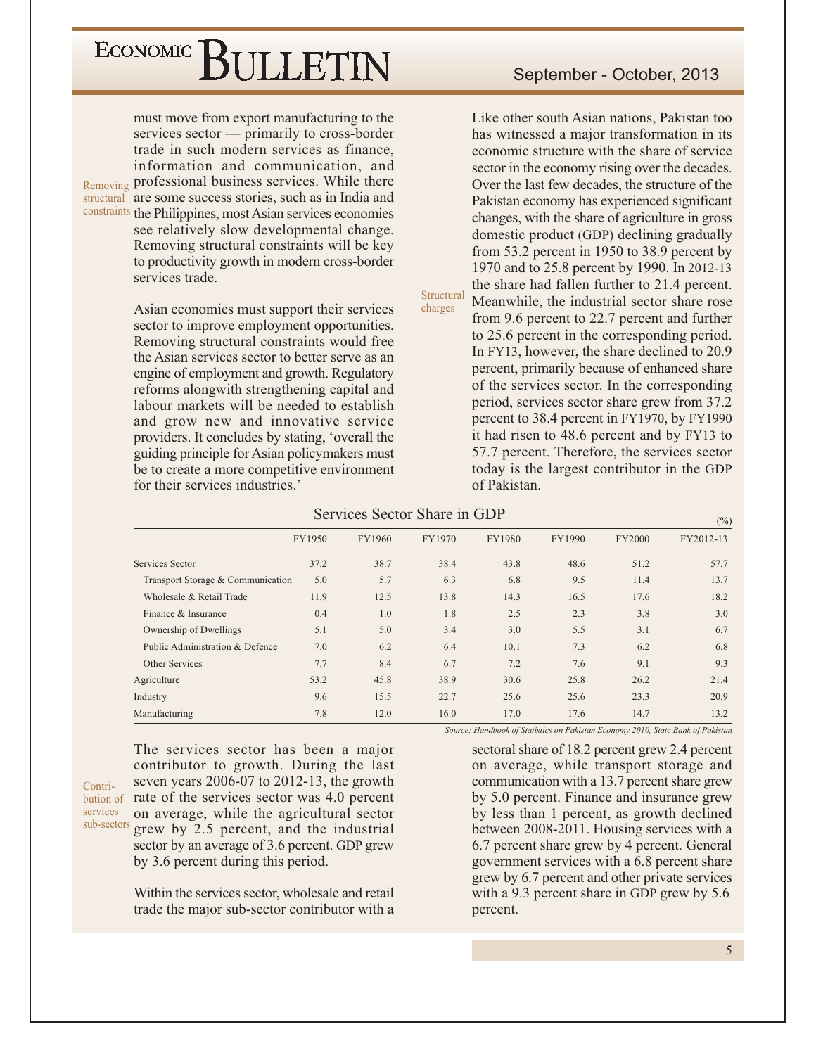must move from export manufacturing to the services sector — primarily to cross-border trade in such modern services as finance, information and communication, and Removing professional business services. While there structural are some success stories, such as in India and constraints the Philippines, most Asian services economies see relatively slow developmental change. Removing structural constraints will be key to productivity growth in modern cross-border services trade.

> Asian economies must support their services sector to improve employment opportunities. Removing structural constraints would free the Asian services sector to better serve as an engine of employment and growth. Regulatory reforms alongwith strengthening capital and labour markets will be needed to establish and grow new and innovative service providers. It concludes by stating, 'overall the guiding principle for Asian policymakers must be to create a more competitive environment for their services industries.'

#### September - October, 2013

Like other south Asian nations, Pakistan too has witnessed a major transformation in its economic structure with the share of service sector in the economy rising over the decades. Over the last few decades, the structure of the Pakistan economy has experienced significant changes, with the share of agriculture in gross domestic product (GDP) declining gradually from 53.2 percent in 1950 to 38.9 percent by 1970 and to 25.8 percent by 1990. In 2012-13 the share had fallen further to 21.4 percent. Structural Meanwhile, the industrial sector share rose from 9.6 percent to 22.7 percent and further to 25.6 percent in the corresponding period. In FY13, however, the share declined to 20.9 percent, primarily because of enhanced share of the services sector. In the corresponding period, services sector share grew from 37.2 percent to 38.4 percent in FY1970, by FY1990 it had risen to 48.6 percent and by FY13 to 57.7 percent. Therefore, the services sector today is the largest contributor in the GDP of Pakistan.

| Services Sector Share in GDP |  |  |
|------------------------------|--|--|
|                              |  |  |

|                                   |        |        |        |        |        |               | (70)      |
|-----------------------------------|--------|--------|--------|--------|--------|---------------|-----------|
|                                   | FY1950 | FY1960 | FY1970 | FY1980 | FY1990 | <b>FY2000</b> | FY2012-13 |
| Services Sector                   | 37.2   | 38.7   | 38.4   | 43.8   | 48.6   | 51.2          | 57.7      |
| Transport Storage & Communication | 5.0    | 5.7    | 6.3    | 6.8    | 9.5    | 11.4          | 13.7      |
| Wholesale & Retail Trade          | 11.9   | 12.5   | 13.8   | 14.3   | 16.5   | 17.6          | 18.2      |
| Finance & Insurance               | 0.4    | 1.0    | 1.8    | 2.5    | 2.3    | 3.8           | 3.0       |
| Ownership of Dwellings            | 5.1    | 5.0    | 3.4    | 3.0    | 5.5    | 3.1           | 6.7       |
| Public Administration & Defence   | 7.0    | 6.2    | 6.4    | 10.1   | 7.3    | 6.2           | 6.8       |
| Other Services                    | 7.7    | 8.4    | 6.7    | 7.2    | 7.6    | 9.1           | 9.3       |
| Agriculture                       | 53.2   | 45.8   | 38.9   | 30.6   | 25.8   | 26.2          | 21.4      |
| Industry                          | 9.6    | 15.5   | 22.7   | 25.6   | 25.6   | 23.3          | 20.9      |
| Manufacturing                     | 7.8    | 12.0   | 16.0   | 17.0   | 17.6   | 14.7          | 13.2      |
|                                   |        |        |        |        |        |               |           |

charges

Contriservices sub-sectors

The services sector has been a major contributor to growth. During the last seven years  $2006-07$  to  $2012-13$ , the growth bution of rate of the services sector was 4.0 percent on average, while the agricultural sector grew by 2.5 percent, and the industrial sector by an average of 3.6 percent. GDP grew by 3.6 percent during this period.

> Within the services sector, wholesale and retail trade the major sub-sector contributor with a

Source: Handbook of Statistics on Pakistan Economy 2010, State Bank of Pakistan

sectoral share of 18.2 percent grew 2.4 percent on average, while transport storage and communication with a 13.7 percent share grew by 5.0 percent. Finance and insurance grew by less than 1 percent, as growth declined between 2008-2011. Housing services with a 6.7 percent share grew by 4 percent. General government services with a 6.8 percent share grew by 6.7 percent and other private services with a 9.3 percent share in GDP grew by 5.6 percent.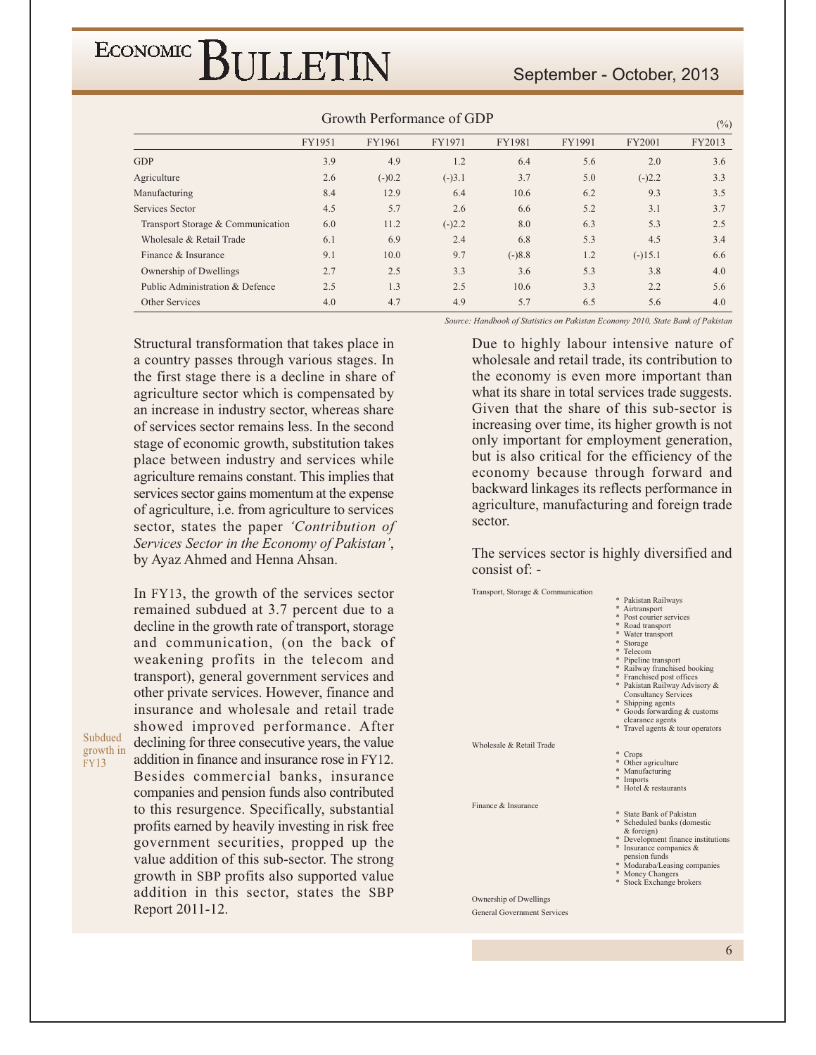#### September - October, 2013

|                                   |        |          | $\sigma$ . The state of $\sigma$ is the state of $\sigma$ |          |        |           | $(\%)$ |
|-----------------------------------|--------|----------|-----------------------------------------------------------|----------|--------|-----------|--------|
|                                   | FY1951 | FY1961   | FY1971                                                    | FY1981   | FY1991 | FY2001    | FY2013 |
| <b>GDP</b>                        | 3.9    | 4.9      | 1.2                                                       | 6.4      | 5.6    | 2.0       | 3.6    |
| Agriculture                       | 2.6    | $(-)0.2$ | $(-)3.1$                                                  | 3.7      | 5.0    | $(-)2.2$  | 3.3    |
| Manufacturing                     | 8.4    | 12.9     | 6.4                                                       | 10.6     | 6.2    | 9.3       | 3.5    |
| Services Sector                   | 4.5    | 5.7      | 2.6                                                       | 6.6      | 5.2    | 3.1       | 3.7    |
| Transport Storage & Communication | 6.0    | 11.2     | $(-)2.2$                                                  | 8.0      | 6.3    | 5.3       | 2.5    |
| Wholesale & Retail Trade          | 6.1    | 6.9      | 2.4                                                       | 6.8      | 5.3    | 4.5       | 3.4    |
| Finance & Insurance               | 9.1    | 10.0     | 9.7                                                       | $(-)8.8$ | 1.2    | $(-)15.1$ | 6.6    |
| Ownership of Dwellings            | 2.7    | 2.5      | 3.3                                                       | 3.6      | 5.3    | 3.8       | 4.0    |
| Public Administration & Defence   | 2.5    | 1.3      | 2.5                                                       | 10.6     | 3.3    | 2.2       | 5.6    |
| Other Services                    | 4.0    | 4.7      | 4.9                                                       | 5.7      | 6.5    | 5.6       | 4.0    |
|                                   |        |          |                                                           |          |        |           |        |

#### Growth Performance of GDP

Structural transformation that takes place in a country passes through various stages. In the first stage there is a decline in share of agriculture sector which is compensated by an increase in industry sector, whereas share of services sector remains less. In the second stage of economic growth, substitution takes place between industry and services while agriculture remains constant. This implies that services sector gains momentum at the expense of agriculture, *i.e.* from agriculture to services sector, states the paper 'Contribution of Services Sector in the Economy of Pakistan', by Ayaz Ahmed and Henna Ahsan.

In FY13, the growth of the services sector remained subdued at 3.7 percent due to a decline in the growth rate of transport, storage and communication, (on the back of weakening profits in the telecom and transport), general government services and other private services. However, finance and insurance and wholesale and retail trade showed improved performance. After declining for three consecutive years, the value addition in finance and insurance rose in FY12. Besides commercial banks, insurance companies and pension funds also contributed to this resurgence. Specifically, substantial profits earned by heavily investing in risk free government securities, propped up the value addition of this sub-sector. The strong growth in SBP profits also supported value addition in this sector, states the SBP Report 2011-12.

Subdued

growth in

**FY13** 

Source: Handbook of Statistics on Pakistan Economy 2010, State Bank of Pakistan

Due to highly labour intensive nature of wholesale and retail trade, its contribution to the economy is even more important than what its share in total services trade suggests. Given that the share of this sub-sector is increasing over time, its higher growth is not only important for employment generation, but is also critical for the efficiency of the economy because through forward and backward linkages its reflects performance in agriculture, manufacturing and foreign trade sector.

The services sector is highly diversified and consist of: -



6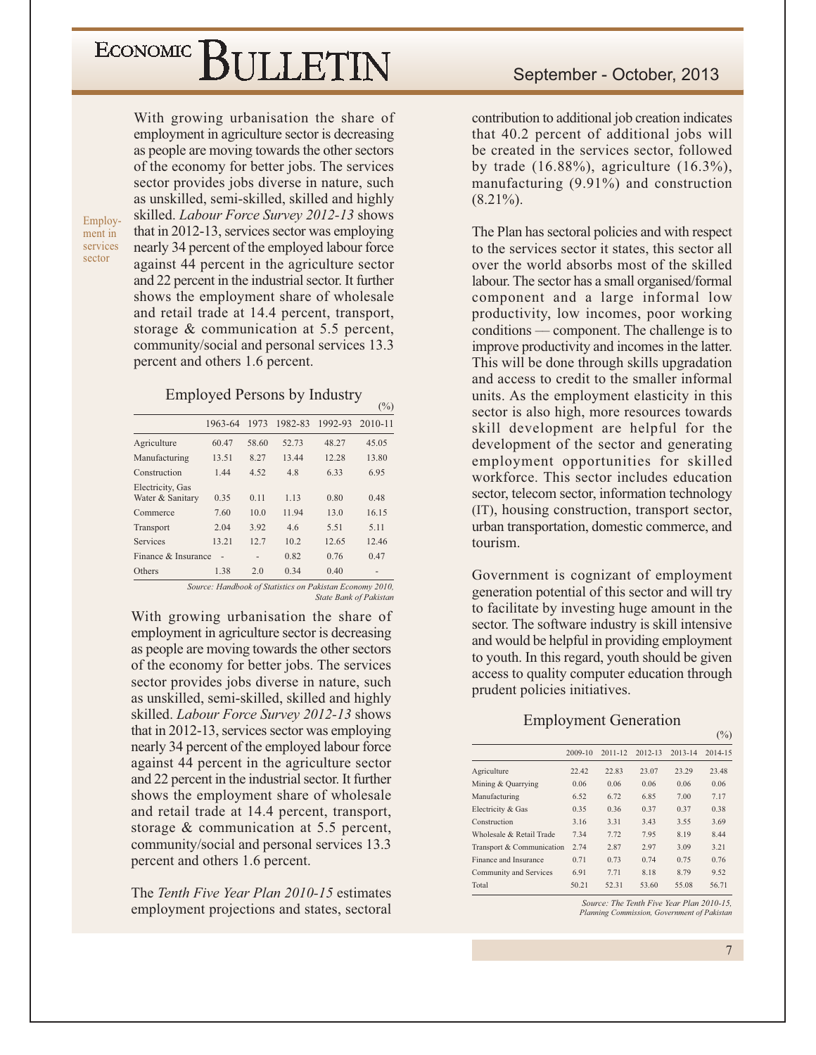With growing urbanisation the share of employment in agriculture sector is decreasing as people are moving towards the other sectors of the economy for better jobs. The services sector provides jobs diverse in nature, such as unskilled, semi-skilled, skilled and highly skilled. Labour Force Survey 2012-13 shows that in 2012-13, services sector was employing nearly 34 percent of the employed labour force against 44 percent in the agriculture sector and 22 percent in the industrial sector. It further shows the employment share of wholesale and retail trade at 14.4 percent, transport, storage  $&$  communication at 5.5 percent, community/social and personal services 13.3 percent and others 1.6 percent.

Employment in services sector

#### **Employed Persons by Industry**

 $(0/6)$ 

|                                      |         |       |         |         | $\cdots$ |
|--------------------------------------|---------|-------|---------|---------|----------|
|                                      | 1963-64 | 1973  | 1982-83 | 1992-93 | 2010-11  |
| Agriculture                          | 60.47   | 58.60 | 52.73   | 48.27   | 45.05    |
| Manufacturing                        | 13.51   | 8.27  | 13.44   | 12.28   | 13.80    |
| Construction                         | 1.44    | 4.52  | 4.8     | 6.33    | 6.95     |
| Electricity, Gas<br>Water & Sanitary | 0.35    | 0.11  | 1.13    | 0.80    | 0.48     |
| Commerce                             | 7.60    | 10.0  | 11.94   | 13.0    | 16.15    |
| Transport                            | 2.04    | 3.92  | 4.6     | 5.51    | 5.11     |
| Services                             | 13.21   | 12.7  | 10.2    | 12.65   | 12.46    |
| Finance & Insurance                  |         |       | 0.82    | 0.76    | 0.47     |
| Others                               | 1.38    | 2.0   | 0.34    | 0.40    |          |

Source: Handbook of Statistics on Pakistan Economy 2010, **State Bank of Pakistan** 

With growing urbanisation the share of employment in agriculture sector is decreasing as people are moving towards the other sectors of the economy for better jobs. The services sector provides jobs diverse in nature, such as unskilled, semi-skilled, skilled and highly skilled. Labour Force Survey 2012-13 shows that in 2012-13, services sector was employing nearly 34 percent of the employed labour force against 44 percent in the agriculture sector and 22 percent in the industrial sector. It further shows the employment share of wholesale and retail trade at 14.4 percent, transport, storage  $&$  communication at 5.5 percent, community/social and personal services 13.3 percent and others 1.6 percent.

The Tenth Five Year Plan 2010-15 estimates employment projections and states, sectoral

contribution to additional job creation indicates that 40.2 percent of additional jobs will be created in the services sector, followed by trade  $(16.88\%)$ , agriculture  $(16.3\%)$ , manufacturing  $(9.91\%)$  and construction  $(8.21\%)$ .

The Plan has sectoral policies and with respect to the services sector it states, this sector all over the world absorbs most of the skilled labour. The sector has a small organised/formal component and a large informal low productivity, low incomes, poor working conditions — component. The challenge is to improve productivity and incomes in the latter. This will be done through skills upgradation and access to credit to the smaller informal units. As the employment elasticity in this sector is also high, more resources towards skill development are helpful for the development of the sector and generating employment opportunities for skilled workforce. This sector includes education sector, telecom sector, information technology (IT), housing construction, transport sector, urban transportation, domestic commerce, and tourism.

Government is cognizant of employment generation potential of this sector and will try to facilitate by investing huge amount in the sector. The software industry is skill intensive and would be helpful in providing employment to youth. In this regard, youth should be given access to quality computer education through prudent policies initiatives.

#### **Employment Generation**

|                           |         |             |             |             | $\frac{10}{2}$ |
|---------------------------|---------|-------------|-------------|-------------|----------------|
|                           | 2009-10 | $2011 - 12$ | $2012 - 13$ | $2013 - 14$ | 2014-15        |
| Agriculture               | 22.42   | 22.83       | 23.07       | 23.29       | 23.48          |
| Mining & Quarrying        | 0.06    | 0.06        | 0.06        | 0.06        | 0.06           |
| Manufacturing             | 6.52    | 6.72        | 6.85        | 7.00        | 7.17           |
| Electricity & Gas         | 0.35    | 0.36        | 0.37        | 0.37        | 0.38           |
| Construction              | 3.16    | 3.31        | 3.43        | 3.55        | 3.69           |
| Wholesale & Retail Trade  | 7.34    | 7.72        | 7.95        | 8.19        | 8.44           |
| Transport & Communication | 2.74    | 2.87        | 2.97        | 3.09        | 3.21           |
| Finance and Insurance     | 0.71    | 0.73        | 0.74        | 0.75        | 0.76           |
| Community and Services    | 6.91    | 7.71        | 8.18        | 8.79        | 9.52           |
| Total                     | 50.21   | 52.31       | 53.60       | 55.08       | 56.71          |

Source: The Tenth Five Year Plan 2010-15, Planning Commission, Government of Pakistar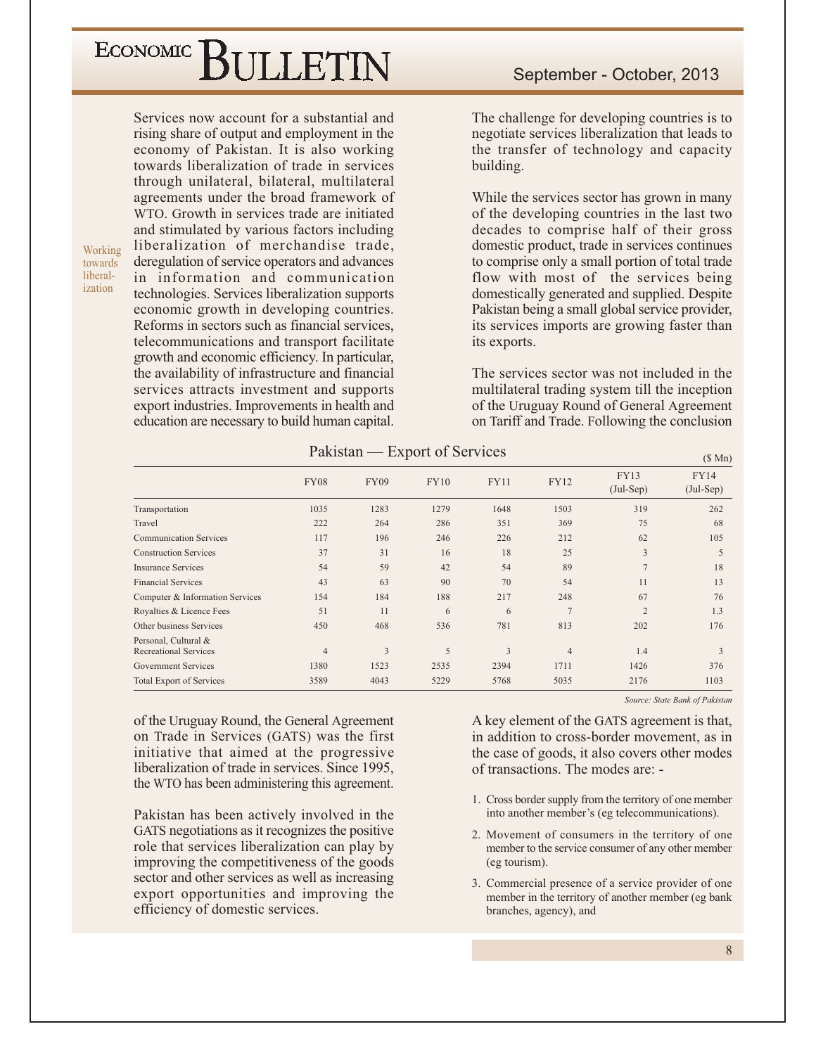# ECONOMIC BIJLETIN

Services now account for a substantial and rising share of output and employment in the economy of Pakistan. It is also working towards liberalization of trade in services through unilateral, bilateral, multilateral agreements under the broad framework of WTO. Growth in services trade are initiated and stimulated by various factors including liberalization of merchandise trade, deregulation of service operators and advances in information and communication technologies. Services liberalization supports economic growth in developing countries. Reforms in sectors such as financial services, telecommunications and transport facilitate growth and economic efficiency. In particular, the availability of infrastructure and financial services attracts investment and supports export industries. Improvements in health and education are necessary to build human capital.

Working

towards liberal-

ization

September - October, 2013

The challenge for developing countries is to negotiate services liberalization that leads to the transfer of technology and capacity building.

While the services sector has grown in many of the developing countries in the last two decades to comprise half of their gross domestic product, trade in services continues to comprise only a small portion of total trade flow with most of the services being domestically generated and supplied. Despite Pakistan being a small global service provider, its services imports are growing faster than its exports.

The services sector was not included in the multilateral trading system till the inception of the Uruguay Round of General Agreement on Tariff and Trade. Following the conclusion

| Pakistan | <b>Export of Services</b> |  |
|----------|---------------------------|--|
|          |                           |  |

|                                                      |                |             |             |             |                |                            | $\sqrt{2}$ $\sqrt{111}$    |
|------------------------------------------------------|----------------|-------------|-------------|-------------|----------------|----------------------------|----------------------------|
|                                                      | <b>FY08</b>    | <b>FY09</b> | <b>FY10</b> | <b>FY11</b> | <b>FY12</b>    | <b>FY13</b><br>$(Jul-Sep)$ | <b>FY14</b><br>$(Jul-Sep)$ |
| Transportation                                       | 1035           | 1283        | 1279        | 1648        | 1503           | 319                        | 262                        |
| Travel                                               | 222            | 264         | 286         | 351         | 369            | 75                         | 68                         |
| <b>Communication Services</b>                        | 117            | 196         | 246         | 226         | 212            | 62                         | 105                        |
| <b>Construction Services</b>                         | 37             | 31          | 16          | 18          | 25             | 3                          | 5                          |
| <b>Insurance Services</b>                            | 54             | 59          | 42          | 54          | 89             | $\overline{7}$             | 18                         |
| <b>Financial Services</b>                            | 43             | 63          | 90          | 70          | 54             | 11                         | 13                         |
| Computer & Information Services                      | 154            | 184         | 188         | 217         | 248            | 67                         | 76                         |
| Royalties & Licence Fees                             | 51             | 11          | 6           | 6           | $\overline{7}$ | $\overline{2}$             | 1.3                        |
| Other business Services                              | 450            | 468         | 536         | 781         | 813            | 202                        | 176                        |
| Personal, Cultural &<br><b>Recreational Services</b> | $\overline{4}$ | 3           | 5           | 3           | $\overline{4}$ | 1.4                        | 3                          |
| <b>Government Services</b>                           | 1380           | 1523        | 2535        | 2394        | 1711           | 1426                       | 376                        |
| <b>Total Export of Services</b>                      | 3589           | 4043        | 5229        | 5768        | 5035           | 2176                       | 1103                       |

of the Uruguay Round, the General Agreement on Trade in Services (GATS) was the first initiative that aimed at the progressive liberalization of trade in services. Since 1995, the WTO has been administering this agreement.

Pakistan has been actively involved in the GATS negotiations as it recognizes the positive role that services liberalization can play by improving the competitiveness of the goods sector and other services as well as increasing export opportunities and improving the efficiency of domestic services.

Source: State Bank of Pakistan

 $(0.34)$ 

A key element of the GATS agreement is that, in addition to cross-border movement, as in the case of goods, it also covers other modes of transactions. The modes are: -

- 1. Cross border supply from the territory of one member into another member's (eg telecommunications).
- 2. Movement of consumers in the territory of one member to the service consumer of any other member (eg tourism).
- 3. Commercial presence of a service provider of one member in the territory of another member (eg bank branches, agency), and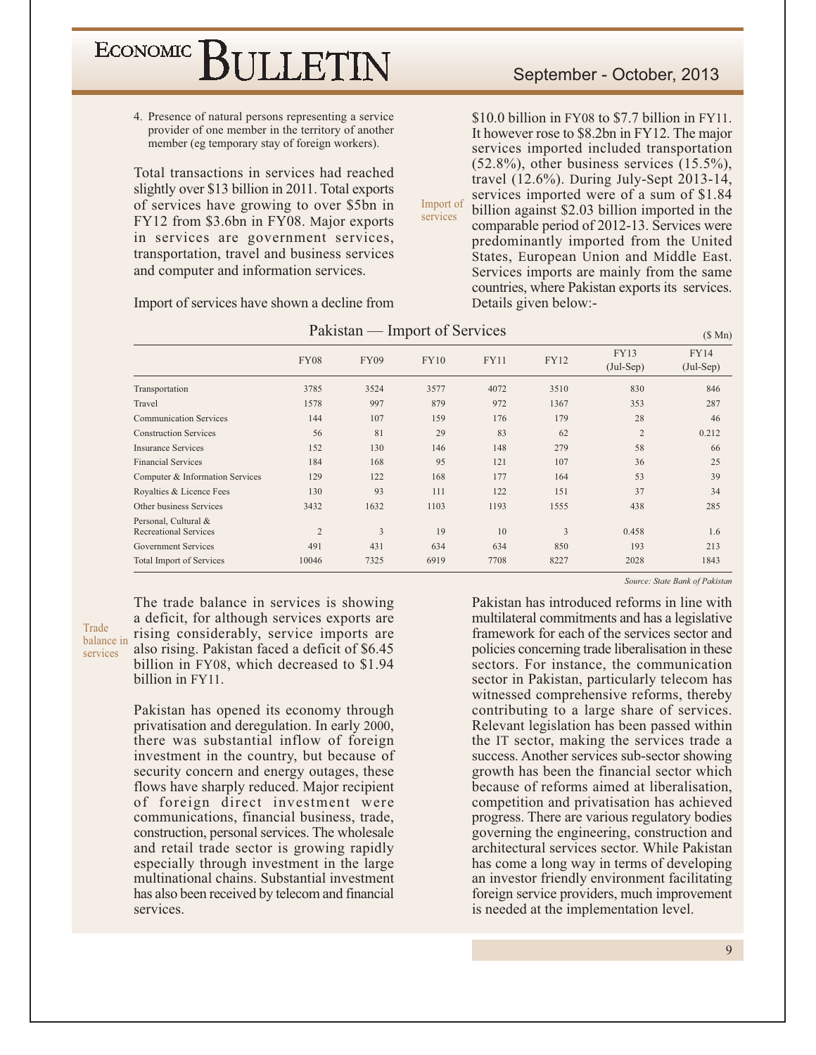ECONOMIC<sup></sup> SULLETIN

> 4. Presence of natural persons representing a service provider of one member in the territory of another member (eg temporary stay of foreign workers).

> Total transactions in services had reached slightly over \$13 billion in 2011. Total exports of services have growing to over \$5bn in FY12 from \$3.6bn in FY08. Major exports in services are government services, transportation, travel and business services and computer and information services.

> Import of services have shown a decline from

\$10.0 billion in FY08 to \$7.7 billion in FY11. It however rose to \$8.2bn in FY12. The major services imported included transportation  $(52.8\%)$ , other business services  $(15.5\%)$ , travel  $(12.6\%)$ . During July-Sept 2013-14, services imported were of a sum of \$1.84 Import of billion against \$2.03 billion imported in the services comparable period of 2012-13. Services were predominantly imported from the United States, European Union and Middle East. Services imports are mainly from the same countries, where Pakistan exports its services. Details given below:-

|                                                      |                |             | Pakistan — Import of Services |             |             |                            | (\$Mn)                     |
|------------------------------------------------------|----------------|-------------|-------------------------------|-------------|-------------|----------------------------|----------------------------|
|                                                      | <b>FY08</b>    | <b>FY09</b> | <b>FY10</b>                   | <b>FY11</b> | <b>FY12</b> | <b>FY13</b><br>$(Jul-Sep)$ | <b>FY14</b><br>$(Jul-Sep)$ |
| Transportation                                       | 3785           | 3524        | 3577                          | 4072        | 3510        | 830                        | 846                        |
| Travel                                               | 1578           | 997         | 879                           | 972         | 1367        | 353                        | 287                        |
| <b>Communication Services</b>                        | 144            | 107         | 159                           | 176         | 179         | 28                         | 46                         |
| <b>Construction Services</b>                         | 56             | 81          | 29                            | 83          | 62          | $\overline{2}$             | 0.212                      |
| <b>Insurance Services</b>                            | 152            | 130         | 146                           | 148         | 279         | 58                         | 66                         |
| <b>Financial Services</b>                            | 184            | 168         | 95                            | 121         | 107         | 36                         | 25                         |
| Computer & Information Services                      | 129            | 122         | 168                           | 177         | 164         | 53                         | 39                         |
| Royalties & Licence Fees                             | 130            | 93          | 111                           | 122         | 151         | 37                         | 34                         |
| Other business Services                              | 3432           | 1632        | 1103                          | 1193        | 1555        | 438                        | 285                        |
| Personal, Cultural &<br><b>Recreational Services</b> | $\overline{2}$ | 3           | 19                            | 10          | 3           | 0.458                      | 1.6                        |
| <b>Government Services</b>                           | 491            | 431         | 634                           | 634         | 850         | 193                        | 213                        |
| <b>Total Import of Services</b>                      | 10046          | 7325        | 6919                          | 7708        | 8227        | 2028                       | 1843                       |

Trade balance in services

The trade balance in services is showing a deficit, for although services exports are rising considerably, service imports are also rising. Pakistan faced a deficit of \$6.45 billion in FY08, which decreased to \$1.94 billion in FY11.

Pakistan has opened its economy through privatisation and deregulation. In early 2000, there was substantial inflow of foreign investment in the country, but because of security concern and energy outages, these flows have sharply reduced. Major recipient of foreign direct investment were communications, financial business, trade, construction, personal services. The wholesale and retail trade sector is growing rapidly especially through investment in the large multinational chains. Substantial investment has also been received by telecom and financial services.

Source: State Bank of Pakistan

Pakistan has introduced reforms in line with multilateral commitments and has a legislative framework for each of the services sector and policies concerning trade liberalisation in these sectors. For instance, the communication sector in Pakistan, particularly telecom has witnessed comprehensive reforms, thereby contributing to a large share of services. Relevant legislation has been passed within the IT sector, making the services trade a success. Another services sub-sector showing growth has been the financial sector which because of reforms aimed at liberalisation. competition and privatisation has achieved progress. There are various regulatory bodies governing the engineering, construction and architectural services sector. While Pakistan has come a long way in terms of developing an investor friendly environment facilitating foreign service providers, much improvement is needed at the implementation level.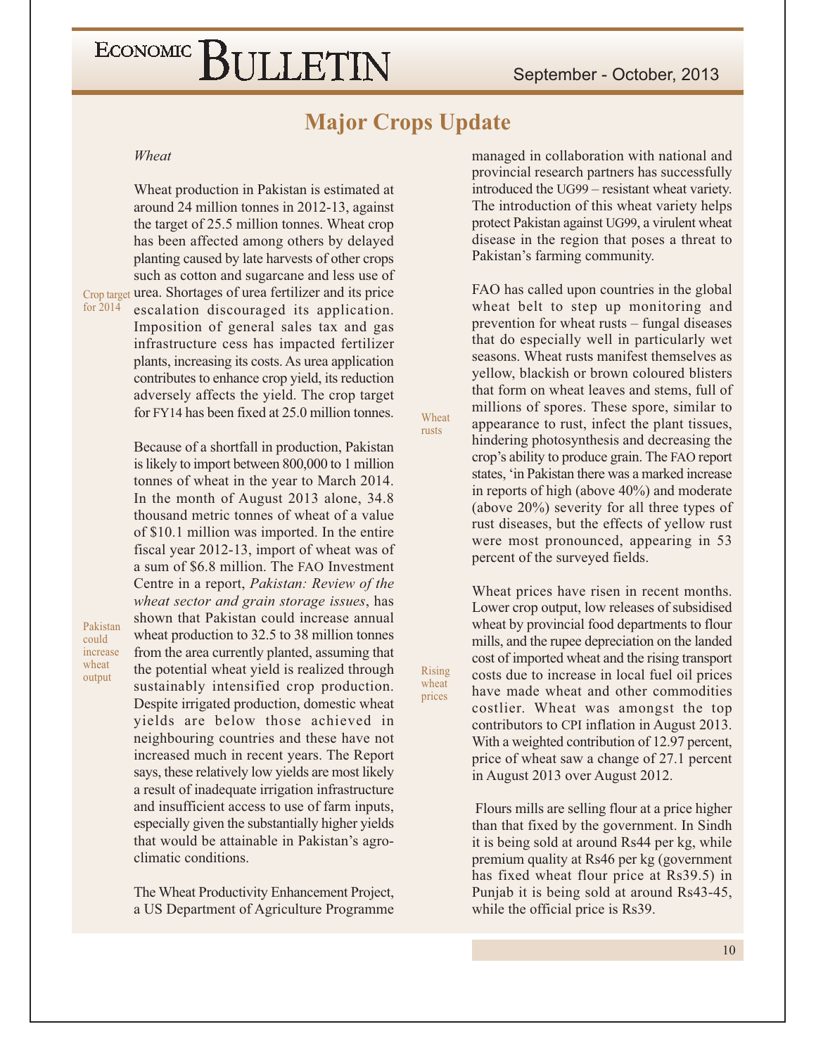### **Major Crops Update**

Wheat

**Rising** 

wheat

prices

rusts

#### Wheat

for 2014

Pakistan

increase

wheat

output

could

Wheat production in Pakistan is estimated at around 24 million tonnes in 2012-13, against the target of 25.5 million tonnes. Wheat crop has been affected among others by delayed planting caused by late harvests of other crops such as cotton and sugarcane and less use of Crop target urea. Shortages of urea fertilizer and its price escalation discouraged its application. Imposition of general sales tax and gas

infrastructure cess has impacted fertilizer plants, increasing its costs. As urea application contributes to enhance crop yield, its reduction adversely affects the yield. The crop target for FY14 has been fixed at 25.0 million tonnes.

Because of a shortfall in production, Pakistan is likely to import between 800,000 to 1 million tonnes of wheat in the year to March 2014. In the month of August 2013 alone, 34.8 thousand metric tonnes of wheat of a value of \$10.1 million was imported. In the entire fiscal year 2012-13, import of wheat was of a sum of \$6.8 million. The FAO Investment Centre in a report, Pakistan: Review of the wheat sector and grain storage issues, has shown that Pakistan could increase annual wheat production to 32.5 to 38 million tonnes from the area currently planted, assuming that the potential wheat yield is realized through sustainably intensified crop production. Despite irrigated production, domestic wheat yields are below those achieved in neighbouring countries and these have not increased much in recent years. The Report says, these relatively low yields are most likely a result of inadequate irrigation infrastructure and insufficient access to use of farm inputs, especially given the substantially higher yields that would be attainable in Pakistan's agroclimatic conditions.

The Wheat Productivity Enhancement Project, a US Department of Agriculture Programme

managed in collaboration with national and provincial research partners has successfully introduced the UG99 – resistant wheat variety. The introduction of this wheat variety helps protect Pakistan against UG99, a virulent wheat disease in the region that poses a threat to Pakistan's farming community.

FAO has called upon countries in the global wheat belt to step up monitoring and prevention for wheat rusts – fungal diseases that do especially well in particularly wet seasons. Wheat rusts manifest themselves as yellow, blackish or brown coloured blisters that form on wheat leaves and stems, full of millions of spores. These spore, similar to appearance to rust, infect the plant tissues, hindering photosynthesis and decreasing the crop's ability to produce grain. The FAO report states, 'in Pakistan there was a marked increase in reports of high (above 40%) and moderate (above  $20\%$ ) severity for all three types of rust diseases, but the effects of yellow rust were most pronounced, appearing in 53 percent of the surveyed fields.

Wheat prices have risen in recent months. Lower crop output, low releases of subsidised wheat by provincial food departments to flour mills, and the rupee depreciation on the landed cost of imported wheat and the rising transport costs due to increase in local fuel oil prices have made wheat and other commodities costlier. Wheat was amongst the top contributors to CPI inflation in August 2013. With a weighted contribution of 12.97 percent, price of wheat saw a change of 27.1 percent in August 2013 over August 2012.

Flours mills are selling flour at a price higher than that fixed by the government. In Sindh it is being sold at around Rs44 per kg, while premium quality at Rs46 per kg (government has fixed wheat flour price at Rs39.5) in Punjab it is being sold at around Rs43-45, while the official price is Rs39.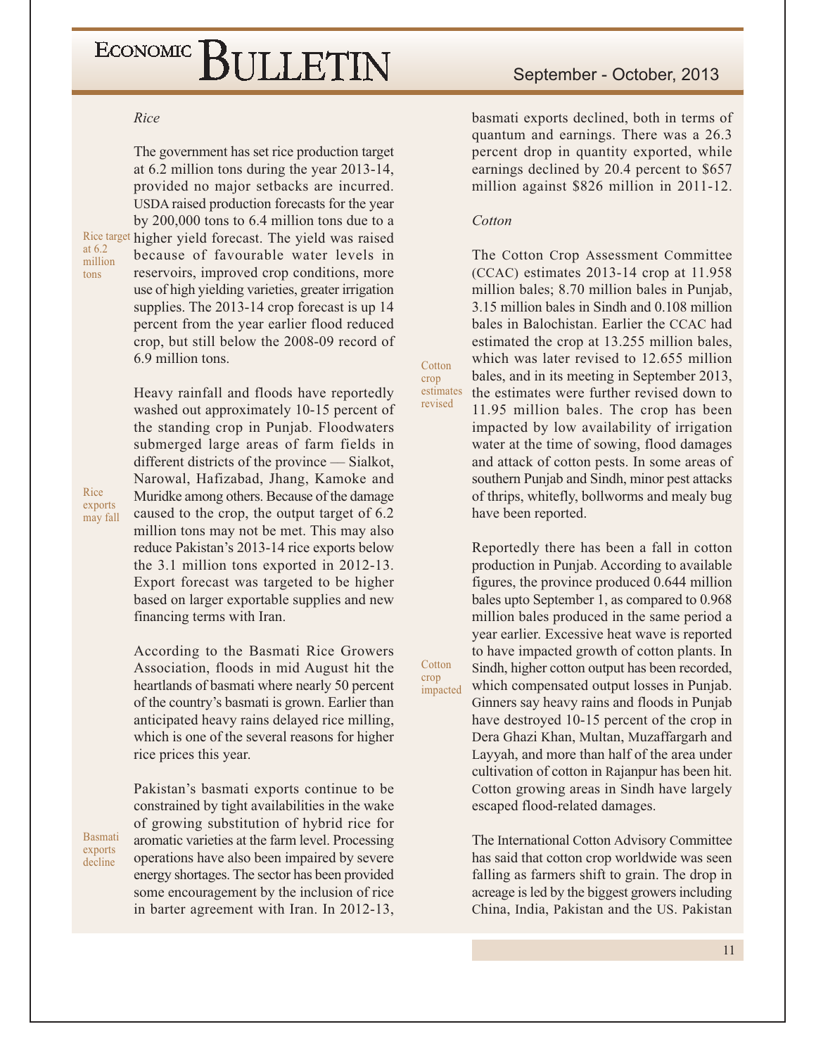#### Rice

The government has set rice production target at 6.2 million tons during the year 2013-14, provided no major setbacks are incurred. USDA raised production forecasts for the year by  $200,000$  tons to 6.4 million tons due to a Rice target higher yield forecast. The yield was raised because of favourable water levels in reservoirs, improved crop conditions, more use of high yielding varieties, greater irrigation supplies. The 2013-14 crop forecast is up 14 percent from the year earlier flood reduced crop, but still below the 2008-09 record of 6.9 million tons.

> Heavy rainfall and floods have reportedly washed out approximately 10-15 percent of the standing crop in Punjab. Floodwaters submerged large areas of farm fields in different districts of the province — Sialkot, Narowal, Hafizabad, Jhang, Kamoke and Muridke among others. Because of the damage caused to the crop, the output target of 6.2 million tons may not be met. This may also reduce Pakistan's 2013-14 rice exports below the 3.1 million tons exported in 2012-13. Export forecast was targeted to be higher based on larger exportable supplies and new financing terms with Iran.

> According to the Basmati Rice Growers Association, floods in mid August hit the heartlands of basmati where nearly 50 percent of the country's basmati is grown. Earlier than anticipated heavy rains delayed rice milling, which is one of the several reasons for higher rice prices this year.

> Pakistan's basmati exports continue to be constrained by tight availabilities in the wake of growing substitution of hybrid rice for aromatic varieties at the farm level. Processing operations have also been impaired by severe energy shortages. The sector has been provided some encouragement by the inclusion of rice in barter agreement with Iran. In 2012-13,

### September - October, 2013

basmati exports declined, both in terms of quantum and earnings. There was a 26.3 percent drop in quantity exported, while earnings declined by 20.4 percent to \$657 million against \$826 million in 2011-12.

#### Cotton

Cotton

revised

Cotton

impacted

crop

crop estimates

The Cotton Crop Assessment Committee  $(CCAC)$  estimates 2013-14 crop at 11.958 million bales; 8.70 million bales in Punjab, 3.15 million bales in Sindh and 0.108 million bales in Balochistan. Earlier the CCAC had estimated the crop at 13.255 million bales, which was later revised to 12.655 million bales, and in its meeting in September 2013, the estimates were further revised down to 11.95 million bales. The crop has been impacted by low availability of irrigation water at the time of sowing, flood damages and attack of cotton pests. In some areas of southern Punjab and Sindh, minor pest attacks

of thrips, whitefly, bollworms and mealy bug

have been reported.

Reportedly there has been a fall in cotton production in Punjab. According to available figures, the province produced 0.644 million bales upto September 1, as compared to 0.968 million bales produced in the same period a year earlier. Excessive heat wave is reported to have impacted growth of cotton plants. In Sindh, higher cotton output has been recorded, which compensated output losses in Punjab. Ginners say heavy rains and floods in Punjab have destroyed 10-15 percent of the crop in Dera Ghazi Khan, Multan, Muzaffargarh and Layyah, and more than half of the area under cultivation of cotton in Rajanpur has been hit. Cotton growing areas in Sindh have largely escaped flood-related damages.

The International Cotton Advisory Committee has said that cotton crop worldwide was seen falling as farmers shift to grain. The drop in acreage is led by the biggest growers including China, India, Pakistan and the US. Pakistan

Rice exports may fall

at 6.2

tons

million

**Basmati** exports decline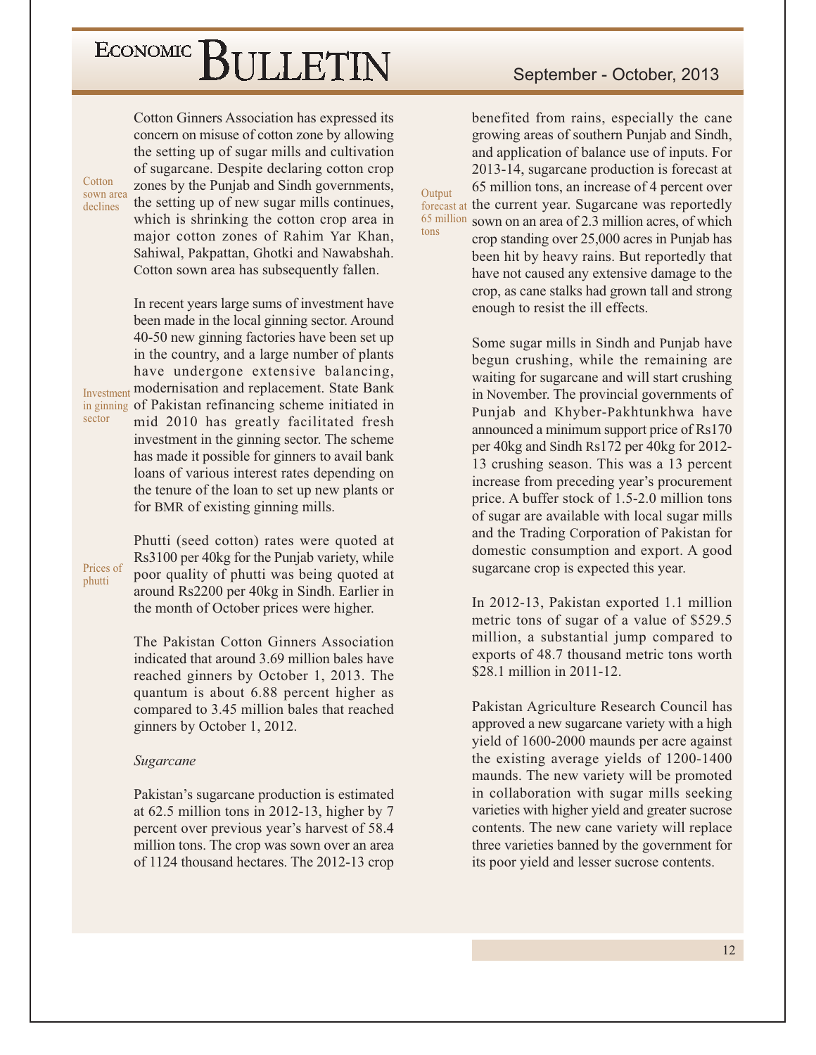Cotton

sown area

declines

sector

phutti

Cotton Ginners Association has expressed its concern on misuse of cotton zone by allowing the setting up of sugar mills and cultivation of sugarcane. Despite declaring cotton crop zones by the Punjab and Sindh governments, the setting up of new sugar mills continues, which is shrinking the cotton crop area in major cotton zones of Rahim Yar Khan, Sahiwal, Pakpattan, Ghotki and Nawabshah. Cotton sown area has subsequently fallen.

In recent years large sums of investment have been made in the local ginning sector. Around 40-50 new ginning factories have been set up in the country, and a large number of plants have undergone extensive balancing, **Investment modernisation and replacement. State Bank** in ginning of Pakistan refinancing scheme initiated in mid 2010 has greatly facilitated fresh investment in the ginning sector. The scheme has made it possible for ginners to avail bank loans of various interest rates depending on the tenure of the loan to set up new plants or for BMR of existing ginning mills.

Phutti (seed cotton) rates were quoted at Rs3100 per 40kg for the Punjab variety, while Prices of poor quality of phutti was being quoted at around Rs2200 per 40kg in Sindh. Earlier in the month of October prices were higher.

> The Pakistan Cotton Ginners Association indicated that around 3.69 million bales have reached ginners by October 1, 2013. The quantum is about 6.88 percent higher as compared to 3.45 million bales that reached ginners by October 1, 2012.

#### Sugarcane

Pakistan's sugarcane production is estimated at  $62.5$  million tons in 2012-13, higher by 7 percent over previous year's harvest of 58.4 million tons. The crop was sown over an area of 1124 thousand hectares. The 2012-13 crop

benefited from rains, especially the cane growing areas of southern Punjab and Sindh, and application of balance use of inputs. For 2013-14, sugarcane production is forecast at 65 million tons, an increase of 4 percent over forecast at the current year. Sugarcane was reportedly 65 million sown on an area of 2.3 million acres, of which crop standing over 25,000 acres in Punjab has been hit by heavy rains. But reportedly that have not caused any extensive damage to the crop, as cane stalks had grown tall and strong

enough to resist the ill effects.

Output

tons

Some sugar mills in Sindh and Punjab have begun crushing, while the remaining are waiting for sugarcane and will start crushing in November. The provincial governments of Punjab and Khyber-Pakhtunkhwa have announced a minimum support price of Rs170 per 40kg and Sindh Rs172 per 40kg for 2012-13 crushing season. This was a 13 percent increase from preceding year's procurement price. A buffer stock of 1.5-2.0 million tons of sugar are available with local sugar mills and the Trading Corporation of Pakistan for domestic consumption and export. A good sugarcane crop is expected this year.

In 2012-13, Pakistan exported 1.1 million metric tons of sugar of a value of \$529.5 million, a substantial jump compared to exports of 48.7 thousand metric tons worth \$28.1 million in 2011-12.

Pakistan Agriculture Research Council has approved a new sugarcane variety with a high yield of 1600-2000 maunds per acre against the existing average yields of 1200-1400 maunds. The new variety will be promoted in collaboration with sugar mills seeking varieties with higher yield and greater sucrose contents. The new cane variety will replace three varieties banned by the government for its poor yield and lesser sucrose contents.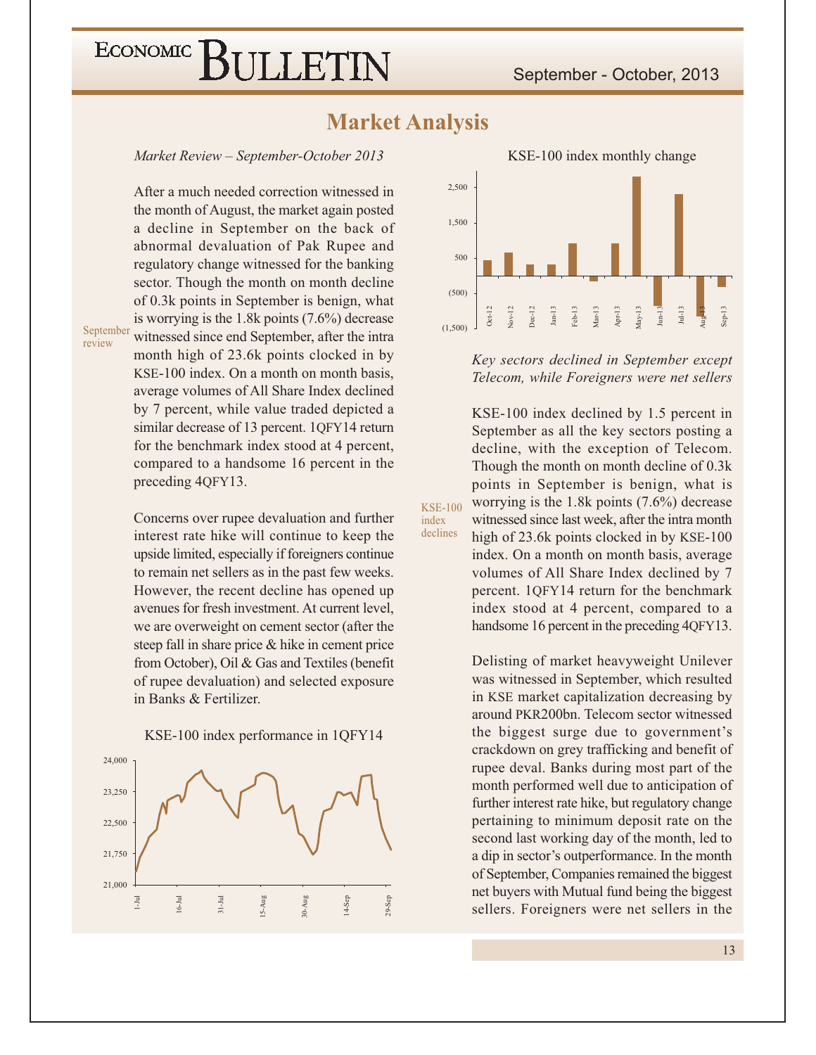September - October, 2013

### ECONOMIC<sup></sup> BULLETIN

### **Market Analysis**

**KSE-100** 

index declines

Market Review - September-October 2013

After a much needed correction witnessed in the month of August, the market again posted a decline in September on the back of abnormal devaluation of Pak Rupee and regulatory change witnessed for the banking sector. Though the month on month decline of 0.3k points in September is benign, what is worrying is the 1.8k points  $(7.6\%)$  decrease witnessed since end September, after the intra month high of 23.6k points clocked in by KSE-100 index. On a month on month basis, average volumes of All Share Index declined by 7 percent, while value traded depicted a similar decrease of 13 percent. 1QFY14 return for the benchmark index stood at 4 percent, compared to a handsome 16 percent in the preceding 4QFY13.

September review

> Concerns over rupee devaluation and further interest rate hike will continue to keep the upside limited, especially if foreigners continue to remain net sellers as in the past few weeks. However, the recent decline has opened up avenues for fresh investment. At current level, we are overweight on cement sector (after the steep fall in share price & hike in cement price from October), Oil & Gas and Textiles (benefit of rupee devaluation) and selected exposure in Banks & Fertilizer.







Key sectors declined in September except Telecom, while Foreigners were net sellers

KSE-100 index declined by 1.5 percent in September as all the key sectors posting a decline, with the exception of Telecom. Though the month on month decline of 0.3k points in September is benign, what is worrying is the 1.8k points  $(7.6\%)$  decrease witnessed since last week, after the intra month high of 23.6k points clocked in by KSE-100 index. On a month on month basis, average volumes of All Share Index declined by 7 percent. 1QFY14 return for the benchmark index stood at 4 percent, compared to a handsome 16 percent in the preceding 4QFY13.

Delisting of market heavyweight Unilever was witnessed in September, which resulted in KSE market capitalization decreasing by around PKR200bn. Telecom sector witnessed the biggest surge due to government's crackdown on grey trafficking and benefit of rupee deval. Banks during most part of the month performed well due to anticipation of further interest rate hike, but regulatory change pertaining to minimum deposit rate on the second last working day of the month, led to a dip in sector's outperformance. In the month of September, Companies remained the biggest net buyers with Mutual fund being the biggest sellers. Foreigners were net sellers in the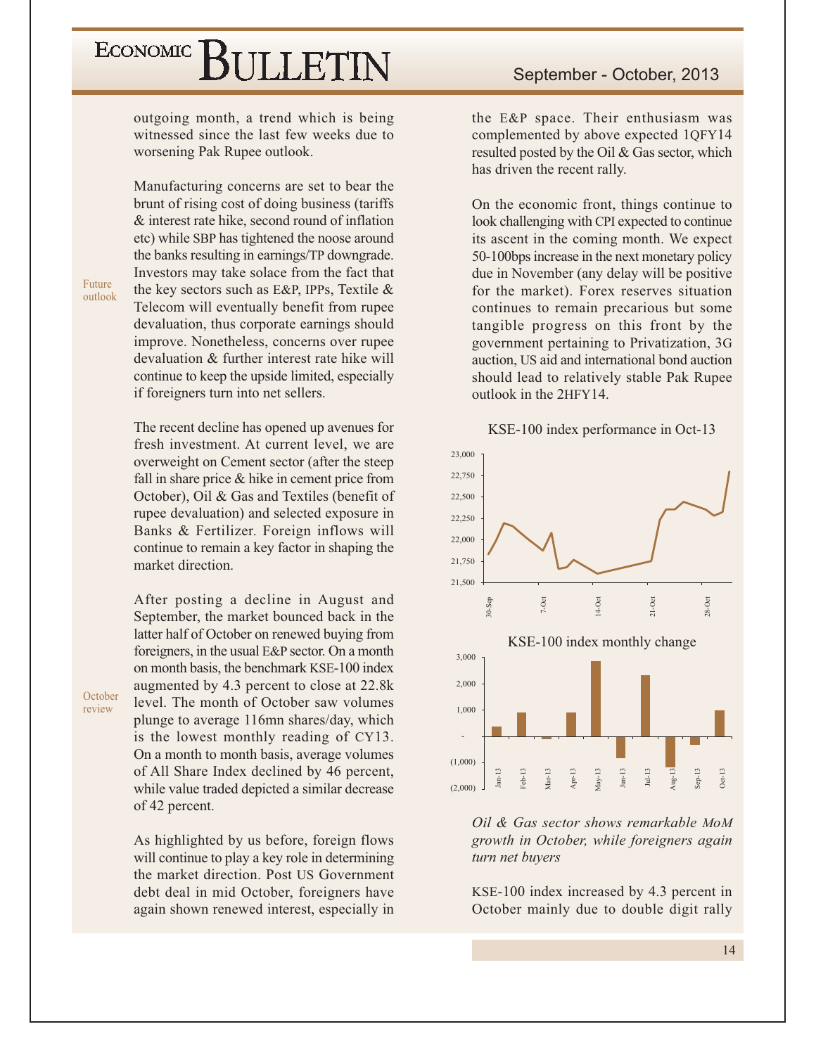outgoing month, a trend which is being witnessed since the last few weeks due to worsening Pak Rupee outlook.

Manufacturing concerns are set to bear the brunt of rising cost of doing business (tariffs) & interest rate hike, second round of inflation etc) while SBP has tightened the noose around the banks resulting in earnings/TP downgrade. Investors may take solace from the fact that the key sectors such as E&P, IPPs, Textile & Telecom will eventually benefit from rupee devaluation, thus corporate earnings should improve. Nonetheless, concerns over rupee devaluation & further interest rate hike will continue to keep the upside limited, especially if foreigners turn into net sellers.

The recent decline has opened up avenues for fresh investment. At current level, we are overweight on Cement sector (after the steep fall in share price  $&$  hike in cement price from October), Oil & Gas and Textiles (benefit of rupee devaluation) and selected exposure in Banks & Fertilizer. Foreign inflows will continue to remain a key factor in shaping the market direction.

After posting a decline in August and September, the market bounced back in the latter half of October on renewed buying from foreigners, in the usual E&P sector. On a month on month basis, the benchmark KSE-100 index augmented by 4.3 percent to close at 22.8k level. The month of October saw volumes plunge to average 116mn shares/day, which is the lowest monthly reading of CY13. On a month to month basis, average volumes of All Share Index declined by 46 percent, while value traded depicted a similar decrease of 42 percent.

As highlighted by us before, foreign flows will continue to play a key role in determining the market direction. Post US Government debt deal in mid October, foreigners have again shown renewed interest, especially in

the E&P space. Their enthusiasm was complemented by above expected 1QFY14 resulted posted by the Oil & Gas sector, which has driven the recent rally.

On the economic front, things continue to look challenging with CPI expected to continue its ascent in the coming month. We expect 50-100bps increase in the next monetary policy due in November (any delay will be positive) for the market). Forex reserves situation continues to remain precarious but some tangible progress on this front by the government pertaining to Privatization, 3G auction, US aid and international bond auction should lead to relatively stable Pak Rupee outlook in the 2HFY14.





Oil & Gas sector shows remarkable MoM growth in October, while foreigners again turn net buyers

KSE-100 index increased by 4.3 percent in October mainly due to double digit rally

October review

Future

outlook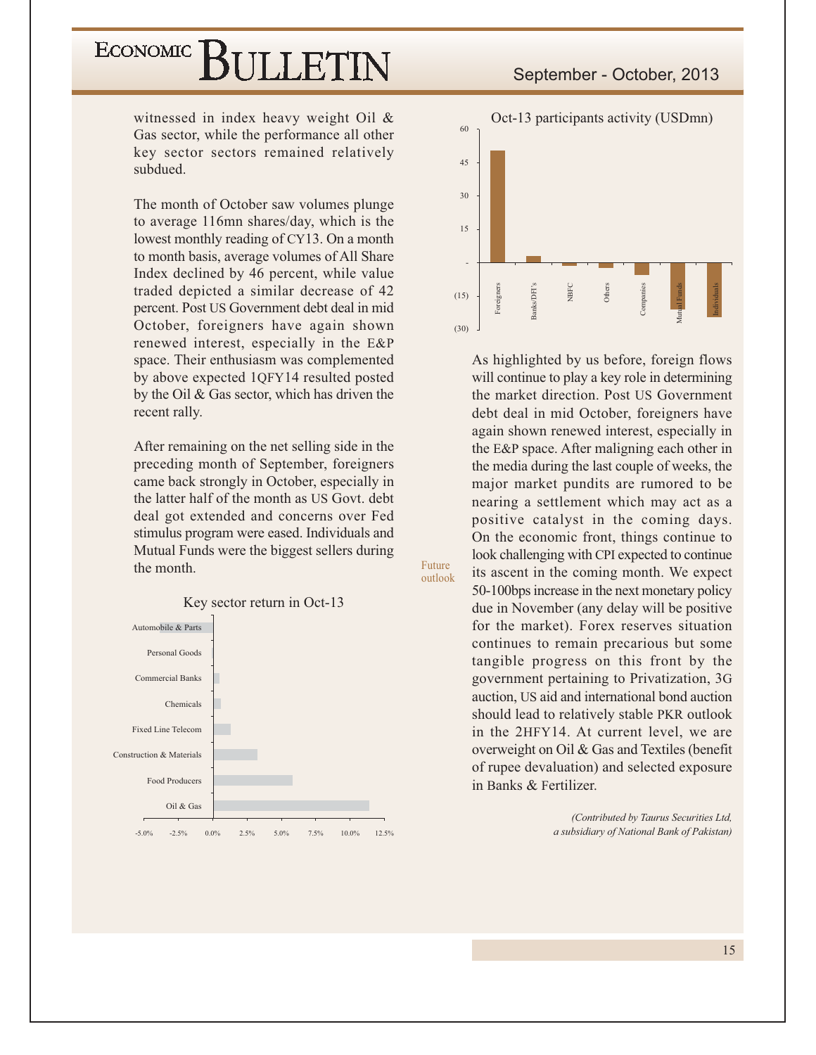# ECONOMIC BIJLETIN

witnessed in index heavy weight Oil & Gas sector, while the performance all other key sector sectors remained relatively subdued.

The month of October saw volumes plunge to average 116mn shares/day, which is the lowest monthly reading of CY13. On a month to month basis, average volumes of All Share Index declined by 46 percent, while value traded depicted a similar decrease of 42 percent. Post US Government debt deal in mid October, foreigners have again shown renewed interest, especially in the E&P space. Their enthusiasm was complemented by above expected 1QFY14 resulted posted by the Oil & Gas sector, which has driven the recent rally.

After remaining on the net selling side in the preceding month of September, foreigners came back strongly in October, especially in the latter half of the month as US Govt. debt deal got extended and concerns over Fed stimulus program were eased. Individuals and Mutual Funds were the biggest sellers during the month.





As highlighted by us before, foreign flows will continue to play a key role in determining the market direction. Post US Government debt deal in mid October, foreigners have again shown renewed interest, especially in the E&P space. After maligning each other in the media during the last couple of weeks, the major market pundits are rumored to be nearing a settlement which may act as a positive catalyst in the coming days. On the economic front, things continue to look challenging with CPI expected to continue its ascent in the coming month. We expect 50-100 bps increase in the next monetary policy due in November (any delay will be positive for the market). Forex reserves situation continues to remain precarious but some tangible progress on this front by the government pertaining to Privatization, 3G auction, US aid and international bond auction should lead to relatively stable PKR outlook in the 2HFY14. At current level, we are overweight on Oil & Gas and Textiles (benefit of rupee devaluation) and selected exposure in Banks & Fertilizer.

> (Contributed by Taurus Securities Ltd, a subsidiary of National Bank of Pakistan)

outlook

Future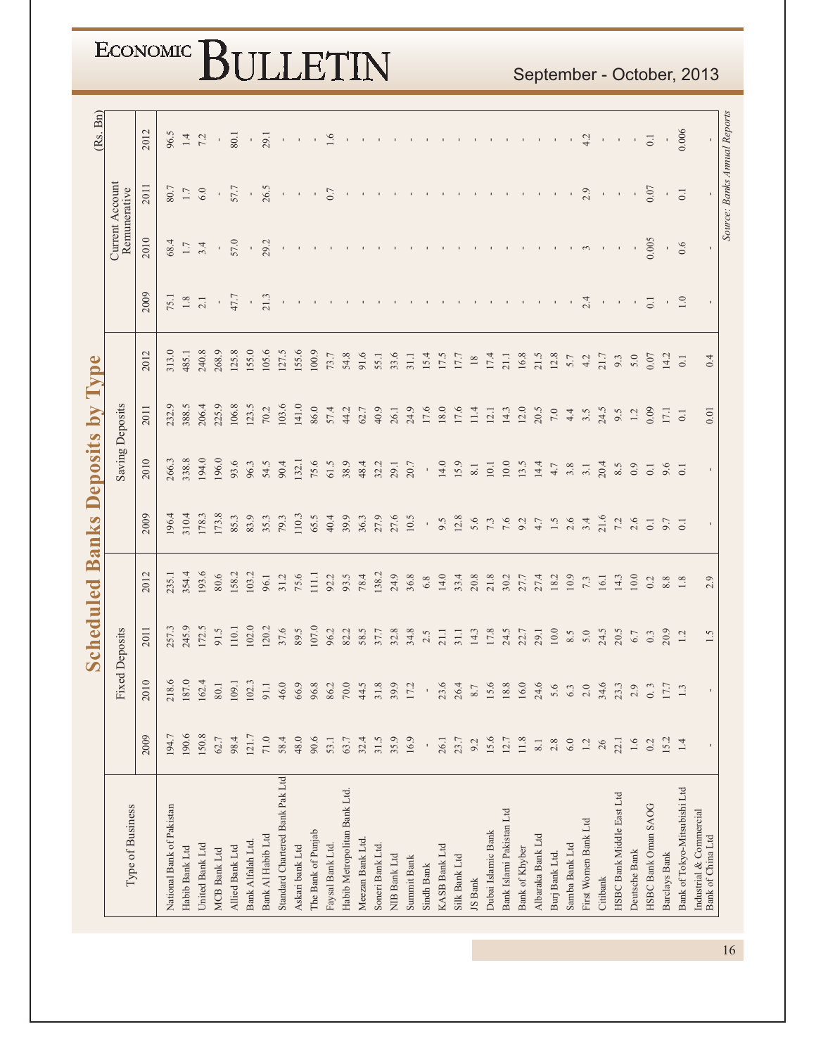|                                              |           |                          | Scheduled             |                  |                  | <b>Banks Deposits by</b> |                        | Type    |                           |                              |                  | (Rs. Bn)     |
|----------------------------------------------|-----------|--------------------------|-----------------------|------------------|------------------|--------------------------|------------------------|---------|---------------------------|------------------------------|------------------|--------------|
| Type of Business                             |           |                          | <b>Fixed Deposits</b> |                  |                  |                          | <b>Saving Deposits</b> |         |                           | Remunerative                 | Current Account  |              |
|                                              | 2009      | $\supseteq$<br>201       | 2011                  | 2012             | 2009             | 2010                     | 2011                   | 2012    | 2009                      | 2010                         | 2011             | 2012         |
| National Bank of Pakistan                    | 194.7     | 9.<br>218                | 257.3                 | 235.1            | 196.4            | 266.3                    | 232.9                  | 313.0   | 75.1                      | 68.4                         | 80.7             | 96.5         |
| Habib Bank Ltd                               | 190.6     | 187.                     | 245.9                 | 354.4            | 310.4            | 338.8                    | 388.5                  | 485.1   | $1.8\,$                   | $1.7\,$                      | $1.7\,$          | $1.4\,$      |
| United Bank Ltd                              | 150.8     | 162                      | 172.5                 | 193.6            | 178.3            | 194.0                    | 206.4                  | 240.8   | 2.1                       | 3.4                          | $6.0\,$          | 7.2          |
| <b>MCB</b> Bank Ltd                          | 62.7      | 80.                      | 91.5                  | 80.6             | 173.8            | 196.0                    | 225.9                  | 268.9   | $\mathbf{r}$              | $\bar{\mathbf{r}}$           |                  | $\bar{1}$    |
| Allied Bank Ltd                              | 98.4      | 109                      | 110.1                 | 158.2            | 85.3             | 93.6                     | 106.8                  | 125.8   | 47.7                      | 57.0                         | 57.7             | 80.1         |
| Bank Alfalah Ltd.                            | 121.7     | 102                      | 102.0                 | 103.2            | 83.9             | 96.3                     | 123.5                  | 155.0   |                           | $\bar{1}$                    | $\bar{e}$        | $\mathbf{r}$ |
| Bank Al Habib Ltd                            | $71.0$    | 91.                      | 120.2                 | 96.1             | 35.3             | 54.5                     | 70.2                   | 105.6   | $\frac{1}{21.3}$          | 29.2                         | 26.5             | 29.1         |
| Standard Chartered Bank Pak Ltd              | 58.4      | 46.                      | 37.6                  | 31.2             | 79.3             | 90.4                     | 103.6                  | 127.5   | $\mathbf{1}$              | $\mathbf{r}$                 | $\bar{\rm r}$    | $\mathbf{r}$ |
| Askari bank Ltd                              | 48.0      | 66.                      | 89.5                  | 75.6             | 110.3            | 132.1                    | 141.0                  | 155.6   | $\mathbf{I}$              | $\mathbf{I}$                 | $\mathbf{I}$     | $\mathbf{I}$ |
| The Bank of Punjab                           | 90.6      | 96.                      | 107.0                 | $\overline{111}$ | 65.5             | 75.6                     | 86.0                   | 100.9   | $\mathbf{1}$              | $\mathcal{A}$                | $\mathbf{r}$     | $\mathbf{I}$ |
| Faysal Bank Ltd.                             | 53.1      | 86.                      | 96.2                  | 92.2             | 40.4             | 61.5                     | 57.4                   | 73.7    |                           | $\mathbf{H}$                 | $0.7\,$          | $1.6\,$      |
| Habib Metropolitan Bank Ltd.                 | 63.7      | 70.                      | 82.2                  | 93.5             | 39.9             | 38.9                     | 44.2                   | 54.8    |                           |                              |                  |              |
| Meezan Bank Ltd.                             | 32.4      | $\ddot{4}$               | 58.5                  | 78.4             | 36.3             | 48.4                     | 62.7                   | 91.6    |                           |                              |                  |              |
| Soneri Bank Ltd.                             | 31.5      | $\overline{31}$ .        | 37.7                  | 138.2            | 27.9             | 32.2                     | 40.9                   | 55.1    |                           |                              |                  |              |
| NIB Bank Ltd                                 | 35.9      | 39.                      | 32.8                  | 24.9             | 27.6             | 29.1                     | 26.1                   | 33.6    |                           |                              |                  |              |
| Summit Bank                                  | 16.9      | 17.                      | 34.8                  | 36.8             | 10.5             | 20.7                     | 24.9                   | 31.1    |                           |                              |                  |              |
| Sindh Bank                                   | $\bar{1}$ | $\overline{\phantom{a}}$ | 2.5                   | $6.8$            |                  | $\,$                     | 17.6                   | 15.4    |                           |                              |                  |              |
| KASB Bank Ltd                                | 26.1      | 23.                      | 21.1                  | 14.0             | 9.5              | 14.0                     | 18.0                   | 17.5    |                           |                              |                  |              |
| Silk Bank Ltd                                | 23.7      | 26.                      | 31.1                  | 33.4             | 12.8             | 15.9                     | 17.6                   | 17.7    |                           |                              |                  |              |
| JS Bank                                      | 9.2       | 8.7                      | 14.3                  | 20.8             | 5.6              | $8.1\,$                  | 11.4                   | $18\,$  |                           |                              |                  |              |
| Dubai Islamic Bank                           | 15.6      | 15.                      | 17.8                  | 21.8             | $7.3$            | $10.1\,$                 | 12.1                   | 17.4    |                           |                              |                  |              |
| Bank Islami Pakistan Ltd                     | 12.7      | 18.                      | 24.5                  | 30.2             | $7.6\,$          | $10.0\,$                 | 14.3                   | 21.1    |                           |                              |                  |              |
| Bank of Khyber                               | 11.8      | 16.                      | 22.7                  | 27.7             | $9.2$<br>4.7     | 13.5                     | 12.0                   | 16.8    |                           |                              |                  |              |
| Albaraka Bank Ltd                            | $8.1\,$   | 24.                      | 29.1                  | 27.4             |                  | 14.4                     | 20.5                   | 21.5    |                           |                              |                  |              |
| Burj Bank Ltd.                               | $2.8\,$   | 5.6                      | $10.0\,$              | 18.2             | 1.5              | $4.7$                    | $7.0\,$                | 12.8    |                           |                              |                  |              |
| Samba Bank Ltd                               | $6.0\,$   | $6.3$                    | 8.5                   | 10.9             | 2.6              | 3.8                      | 4.4                    | 5.7     | $\mathbf{1}$              |                              |                  |              |
| First Women Bank Ltd                         | $1.2\,$   | $2.0\,$                  | $5.0\,$               | 7.3              | 3.4              | 3.1                      | 3.5                    | 4.2     | 2.4                       | $\mathfrak{c}$               | 2.9              | 4.2          |
| Citibank                                     | $26\,$    | 34.6                     | 24.5                  | 16.1             | 21.6             | 20.4                     | 24.5                   | 21.7    | $\mathbf{H}^{\prime}$ .   |                              |                  | $\Gamma$     |
| HSBC Bank Middle East Ltd                    | 22.1      | 23.3                     | 20.5                  | 14.3             | 7.2              | 8.5                      | 9.5                    | 9.3     | $\mathbf{r}$              |                              |                  |              |
| Deutsche Bank                                | $1.6\,$   | 2.9                      | 6.7                   | $10.0$           | 2.6              | 0.9                      | 1.2                    | 5.0     | $\mathbf{1}$              | $\overline{\phantom{a}}$     | $\bar{1}$        | $\,$         |
| HSBC Bank Oman SAOG                          | 0.2       | $0.\overline{3}$         | 0.3                   | 0.2              | $\overline{0.1}$ | $0.1\,$                  | 0.09                   | 0.07    | $\overline{0}$ .          | 0.005                        | 0.07             | $0.1\,$      |
| Barclays Bank                                | 15.2      | 17.7                     | 20.9                  | $8.8\,$          | 9.7              | 9.6                      | 17.1                   | 14.2    | $\mathbf{L}_{\mathrm{c}}$ |                              | $\Gamma$         |              |
| Bank of Tokyo-Mitsubishi Ltd                 | $1.4\,$   | $1.3\,$                  | 1.2                   | $1.8\,$          | $\overline{0.1}$ | $\overline{0}$ .         | $\overline{0.1}$       | $0.1\,$ | 1.0                       | 0.6                          | $\overline{0.1}$ | 0.006        |
| Industrial & Commercial<br>Bank of China Ltd |           |                          | 1.5                   | 2.9              | $\mathbf{I}$     |                          | 0.01                   | 0.4     | $\mathbf{I}$              |                              |                  |              |
|                                              |           |                          |                       |                  |                  |                          |                        |         |                           | Source: Banks Annual Reports |                  |              |

September - October, 2013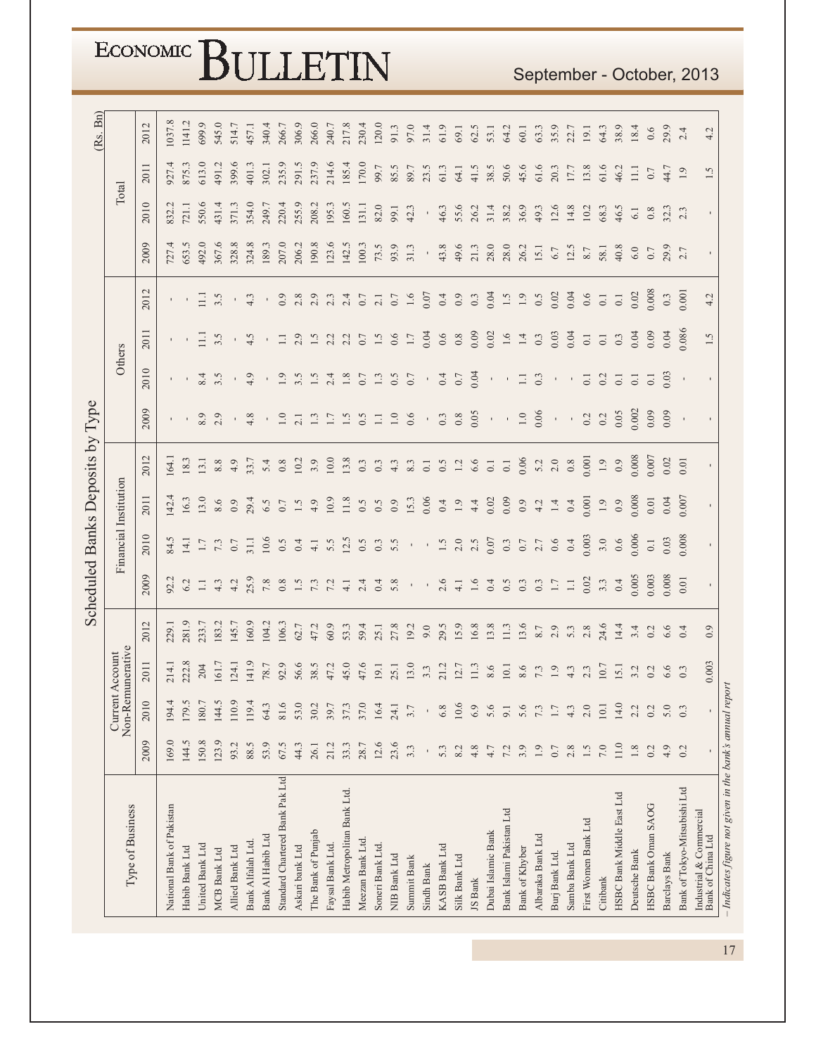|                                                          |              |              |                                     |       |                  |              |                       | Scheduled Banks Deposits by Type |              |                  |                  |                  |                        |                        |         | (Rs. Bn) |
|----------------------------------------------------------|--------------|--------------|-------------------------------------|-------|------------------|--------------|-----------------------|----------------------------------|--------------|------------------|------------------|------------------|------------------------|------------------------|---------|----------|
| Type of Business                                         |              |              | Non-Remunerative<br>Current Account |       |                  |              | Financial Institution |                                  |              |                  | Others           |                  |                        |                        | Total   |          |
|                                                          | 2009         | 2010         | 2011                                | 2012  | 2009             | 2010         | 2011                  | 2012                             | 2009         | 2010             | 2011             | 2012             | 2009                   | 2010                   | 2011    | 2012     |
| National Bank of Pakistan                                | 169.0        | 194.4        | 214.1                               | 229.1 | 92.2             | 84.5         | 142.4                 | [64]                             |              |                  |                  |                  | 727.4                  | 832.                   | 927.4   | 1037.8   |
| Habib Bank Ltd                                           | 144.5        | 179.5        | 222.8                               | 281.9 | 6.2              | 14.1         | 16.3                  | 18.3                             |              |                  | $\mathcal{A}$    |                  | 553.5                  | 121.1                  | 875.3   | .141.2   |
| United Bank Ltd                                          | 150.8        | 180.7        | 204                                 | 233.7 | $1.1\,$          | $1.7\,$      | 13.0                  | 13.1                             | $8.9\,$      | 8.4              | Ξ                | Ξ                | 492.0                  | 550.6                  | 613.0   | 699.9    |
| <b>MCB Bank Ltd</b>                                      | 123.9        | 144.5        | 161.7                               | 183.2 | 4.3              | 7.3          | 8.6                   | $8.8\,$                          | 2.9          | 3.5              | $3.\overline{5}$ | 3.5              | 367.6                  | 431.4                  | 491.2   | 545.0    |
| Allied Bank Ltd                                          | 93.2         | 110.9        | 124.1                               | 145.7 | 4.2              | $0.7\,$      | 0.9                   | 4.9                              | $\mathbf{I}$ | $\mathbf{r}$     | $\mathbf{r}$     |                  | 328.8                  | 371.3                  | 399.6   | 514.7    |
| Bank Alfalah Ltd.                                        | 88.5         | 119.4        | 141.9                               | 160.9 | 25.9             | 31.1         | 29.4                  | 33.7                             | 4.8          | 4.9              | 4.5              | 4.3              | 324.8                  | 354.0                  | 401.3   | 457.1    |
| Bank Al Habib Ltd                                        | 53.9         | 64.3         | 78.7                                | .04.2 | $7.8\,$          | 10.6         | 6.5                   | 5.4                              |              |                  |                  |                  | 189.3                  | 249.7                  | 302.1   | 340.4    |
| Standard Chartered Bank Pak Ltd                          | 67.5         | 81.6         | 92.9                                | 06.3  |                  | 0.5          | $0.7\,$               | 0.8                              | $1.0\,$      | 1.9              | $\Box$           | 0.9              | 207.0                  | 220.4                  | 235.9   | 266.7    |
| Askari bank Ltd                                          | 44.3         | 53.0         | 56.6                                | 62.7  | $0.8$<br>$1.5$   | 0.4          | 1.5                   | 10.2                             | 2.1          | 3.5              | 2.9              | 2.8              | 206.2                  | 255.9                  | 291.5   | 306.9    |
| The Bank of Punjab                                       | 26.1         | 30.2         | 38.5                                | 47.2  | 7.3              | $4.1\,$      | 4.9                   | 3.9                              | 1.3          | 1.5              | 1.5              | 2.9              | 190.8                  | 208.2                  | 237.9   | 266.0    |
| Faysal Bank Ltd.                                         | 21.2         | 39.7         | 47.2                                | 60.9  | 7.2              | 5.5          | 10.9                  | 10.0                             | 1.7          | 2.4              | 2.2              | 2.3              | 123.6                  | 195.3                  | 214.6   | 240.7    |
| Habib Metropolitan Bank Ltd.                             | 33.3         | 37.3         | 45.0                                | 53.3  | $4.1\,$          | 12.5         | 11.8                  | 13.8                             | 1.5          | $1.8\,$          | 2.2              | 2.4              | 142.5                  | 160.5                  | 185.4   | 217.8    |
| Meezan Bank Ltd.                                         | 28.7         | 37.0         | 47.6                                | 59.4  | 2.4              | 0.5          | 0.5                   | 0.3                              | 0.5          | 0.7              | 0.7              | 0.7              | 100.3                  | 131.1                  | 170.0   | 230.4    |
| Soneri Bank Ltd.                                         | 12.6         | 16.4         | 19.1                                | 25.1  | 0.4              | 0.3          | 0.5                   | 0.3                              | $\Box$       | 1.3              | 1.5              | $\overline{2.1}$ | 73.5                   | 82.0                   | 99.7    | 120.0    |
| NIB Bank Ltd                                             | 23.6         | 24.1         | 25.1                                | 27.8  | 5.8              | 5.5          | 0.9                   | 4.3                              | $1.0\,$      | 0.5              | 0.6              | $0.7\,$          | 93.9                   | 99.1                   | 85.5    | 91.3     |
| Summit Bank                                              | 3.3          | 3.7          | 13.0                                | 19.2  |                  | $\mathbf{I}$ | 15.3                  | 8.3                              | $0.6$        | 0.7              | $1.7\,$          | $1.6\,$          | 31.3                   | 42.3                   | 89.7    | 97.0     |
| Sindh Bank                                               | $\mathbf{I}$ | $\mathbf{r}$ | $3.3\,$                             | 9.0   | $\mathbf{r}$     | $\,$         | 0.06                  | $0.1\,$                          | $\mathbf{r}$ | $\mathbf{r}$     | 0.04             | 0.07             | $\mathbf{r}_\parallel$ | $\mathbf{r}_\parallel$ | 23.5    | 31.4     |
| <b>KASB Bank Ltd</b>                                     | 5.3          | 6.8          | 21.2                                | 29.5  | 2.6              | $1.5$        | 0.4                   | 0.5                              | $0.3\,$      | 0.4              | $0.6\,$          | 0.4              | 43.8                   | 46.3                   | 61.3    | 61.9     |
| Silk Bank Ltd                                            | 8.2          | 10.6         | 12.7                                | 15.9  | $\overline{4.1}$ | $2.0$        | $1.9\,$               | $1.2\,$                          | $0.8\,$      | $0.7\,$          | $0.8\,$          | 0.9              | 49.6                   | 55.6                   | 64.1    | 69.1     |
| JS Bank                                                  | 4.8          | 6.9          | 11.3                                | 16.8  | 1.6              | 2.5          | 4.4                   | 6.6                              | 0.05         | 0.04             | 0.09             | 0.3              | 21.3                   | 26.2                   | 41.5    | 62.5     |
| Dubai Islamic Bank                                       | 4.7          | 5.6          | 8.6                                 | 13.8  | 0.4              | 0.07         | 0.02                  | $0.1\,$                          | $\bar{1}$    | $\bar{1}$        | 0.02             | 0.04             | 28.0                   | 31.4                   | 38.5    | 53.1     |
| Bank Islami Pakistan Ltd                                 | 7.2          | 9.1          | 10.1                                | 11.3  | 0.5              | 0.3          | 0.09                  | $\overline{0.1}$                 | $\bar{1}$    |                  | $1.6\,$          | 1.5              | 28.0                   | 38.2                   | 50.6    | 64.2     |
| Bank of Khyber                                           | 3.9          | 5.6          | 8.6                                 | 13.6  | 0.3              | $0.7\,$      | 0.9                   | 0.06                             | $1.0\,$      | $\Box$           | $1.4\,$          | $1.9\,$          | 26.2                   | 36.9                   | 45.6    | 60.1     |
| Albaraka Bank Ltd                                        | 1.9          | 7.3          | 7.3                                 | 8.7   | 0.3              | $2.7$ 0.6    | 4.2                   | 5.2                              | 0.06         | 0.3              | 0.3              | 0.5              | 15.1                   | 49.3                   | 61.6    | 63.3     |
| Burj Bank Ltd.                                           | $0.7\,$      | 1.7          | $1.9\,$                             | 2.9   | $1.7\,$          |              | $1.4\,$               | $2.0\,$                          | $\bar{1}$    |                  | 0.03             | 0.02             | $6.7\,$                | 12.6                   | 20.3    | 35.9     |
| Samba Bank Ltd                                           | 2.8          | 4.3          | 4.3                                 | 5.3   | $\Box$           | 0.4          | 0.4                   | $0.8\,$                          | $\mathbf{r}$ |                  | 0.04             | 0.04             | 12.5                   | 14.8                   | 17.7    | 22.7     |
| First Women Bank Ltd                                     | 1.5          | 2.0          | 2.3                                 | $2.8$ | 0.02             | 0.003        | 0.001                 | 0.001                            | 0.2          | $\overline{0}$ . | $\hbox{C}$       | $0.6$            | $8.7\,$                | 10.2                   | 13.8    | 19.1     |
| Citibank                                                 | $7.0\,$      | 10.1         | 10.7                                | 24.6  | 3.3              | 3.0          | $1.9\,$               | $1.9\,$                          | 0.2          | 0.2              | $0.1\,$          | $0.1\,$          | 58.1                   | 68.3                   | 61.6    | 64.3     |
| HSBC Bank Middle East Ltd                                | 11.0         | 14.0         | 15.1                                | 14.4  | 0.4              | $0.6$        | $_{0.9}$              | 0.9                              | 0.05         | $\overline{0}$ . | 0.3              | $0.1\,$          | 40.8                   | 46.5                   | 46.2    | 38.9     |
| Deutsche Bank                                            | $1.8\,$      | 2.2          | 3.2                                 | 3.4   | 0.005            | 0.006        | 0.008                 | 0.008                            | 0.002        | $\overline{0}$ . | 0.04             | 0.02             | $6.0\,$                | $6.1\,$                | Ξ       | 18.4     |
| HSBC Bank Oman SAOG                                      | 0.2          | 0.2          | 0.2                                 | 0.2   | 0.003            | $0.1\,$      | 0.01                  | 0.007                            | 0.09         | $\overline{0}$ . | 0.09             | 0.008            | $0.7\,$                | $0.8\,$                | $0.7\,$ | 0.6      |
| Barclays Bank                                            | 4.9          | 5.0          | 6.6                                 | 6.6   | 0.008            | 0.03         | 0.04                  | 0.02                             | 0.09         | 0.03             | 0.04             | 0.3              | 29.9                   | 32.3                   | 44.7    | 29.9     |
| Bank of Tokyo-Mitsubishi Ltd                             | 0.2          | 0.3          | 0.3                                 | 0.4   | $0.01$           | 0.08         | 0.007                 | 0.01                             | $\,$         |                  | 0.086            | 0.001            |                        |                        | 1.9     | 2.4      |
| Industrial & Commercial<br>Bank of China Ltd             |              |              | 0.003                               | 0.9   | $\mathbf{I}$     | $\mathbf{I}$ | $\blacksquare$        | $\mathbf{r}$                     |              |                  | 1.5              | 4.2              |                        |                        | 1.5     | 4.2      |
| - Indicates figure not given in the bank's annual report |              |              |                                     |       |                  |              |                       |                                  |              |                  |                  |                  |                        |                        |         |          |

September - October, 2013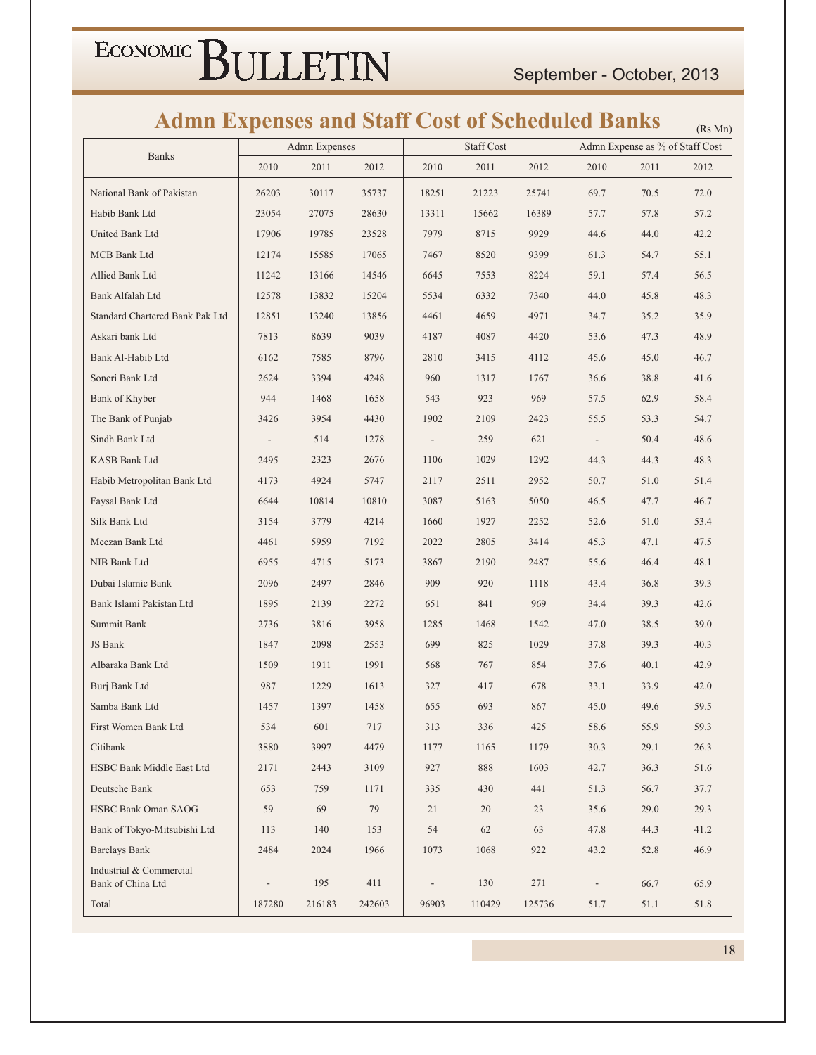### **Admn Expenses and Staff Cost of Scheduled Banks**

|                                              | ш                        | Admn Expenses |        |       | Staff Cost |        |                          | Admn Expense as % of Staff Cost | (N <sub>5</sub> NIII) |
|----------------------------------------------|--------------------------|---------------|--------|-------|------------|--------|--------------------------|---------------------------------|-----------------------|
| <b>Banks</b>                                 | 2010                     | 2011          | 2012   | 2010  | 2011       | 2012   | 2010                     | 2011                            | 2012                  |
| National Bank of Pakistan                    | 26203                    | 30117         | 35737  | 18251 | 21223      | 25741  | 69.7                     | 70.5                            | 72.0                  |
| Habib Bank Ltd                               | 23054                    | 27075         | 28630  | 13311 | 15662      | 16389  | 57.7                     | 57.8                            | 57.2                  |
| United Bank Ltd                              | 17906                    | 19785         | 23528  | 7979  | 8715       | 9929   | 44.6                     | 44.0                            | 42.2                  |
| <b>MCB Bank Ltd</b>                          | 12174                    | 15585         | 17065  | 7467  | 8520       | 9399   | 61.3                     | 54.7                            | 55.1                  |
| Allied Bank Ltd                              | 11242                    | 13166         | 14546  | 6645  | 7553       | 8224   | 59.1                     | 57.4                            | 56.5                  |
| Bank Alfalah Ltd                             | 12578                    | 13832         | 15204  | 5534  | 6332       | 7340   | 44.0                     | 45.8                            | 48.3                  |
| Standard Chartered Bank Pak Ltd              | 12851                    | 13240         | 13856  | 4461  | 4659       | 4971   | 34.7                     | 35.2                            | 35.9                  |
| Askari bank Ltd                              | 7813                     | 8639          | 9039   | 4187  | 4087       | 4420   | 53.6                     | 47.3                            | 48.9                  |
| Bank Al-Habib Ltd                            | 6162                     | 7585          | 8796   | 2810  | 3415       | 4112   | 45.6                     | 45.0                            | 46.7                  |
| Soneri Bank Ltd                              | 2624                     | 3394          | 4248   | 960   | 1317       | 1767   | 36.6                     | 38.8                            | 41.6                  |
| Bank of Khyber                               | 944                      | 1468          | 1658   | 543   | 923        | 969    | 57.5                     | 62.9                            | 58.4                  |
| The Bank of Punjab                           | 3426                     | 3954          | 4430   | 1902  | 2109       | 2423   | 55.5                     | 53.3                            | 54.7                  |
| Sindh Bank Ltd                               | $\overline{\phantom{a}}$ | 514           | 1278   |       | 259        | 621    | $\overline{\phantom{a}}$ | 50.4                            | 48.6                  |
| <b>KASB Bank Ltd</b>                         | 2495                     | 2323          | 2676   | 1106  | 1029       | 1292   | 44.3                     | 44.3                            | 48.3                  |
| Habib Metropolitan Bank Ltd                  | 4173                     | 4924          | 5747   | 2117  | 2511       | 2952   | 50.7                     | 51.0                            | 51.4                  |
| Faysal Bank Ltd                              | 6644                     | 10814         | 10810  | 3087  | 5163       | 5050   | 46.5                     | 47.7                            | 46.7                  |
| Silk Bank Ltd                                | 3154                     | 3779          | 4214   | 1660  | 1927       | 2252   | 52.6                     | 51.0                            | 53.4                  |
| Meezan Bank Ltd                              | 4461                     | 5959          | 7192   | 2022  | 2805       | 3414   | 45.3                     | 47.1                            | 47.5                  |
| NIB Bank Ltd                                 | 6955                     | 4715          | 5173   | 3867  | 2190       | 2487   | 55.6                     | 46.4                            | 48.1                  |
| Dubai Islamic Bank                           | 2096                     | 2497          | 2846   | 909   | 920        | 1118   | 43.4                     | 36.8                            | 39.3                  |
| Bank Islami Pakistan Ltd                     | 1895                     | 2139          | 2272   | 651   | 841        | 969    | 34.4                     | 39.3                            | 42.6                  |
| Summit Bank                                  | 2736                     | 3816          | 3958   | 1285  | 1468       | 1542   | 47.0                     | 38.5                            | 39.0                  |
| JS Bank                                      | 1847                     | 2098          | 2553   | 699   | 825        | 1029   | 37.8                     | 39.3                            | 40.3                  |
| Albaraka Bank Ltd                            | 1509                     | 1911          | 1991   | 568   | 767        | 854    | 37.6                     | 40.1                            | 42.9                  |
| Burj Bank Ltd                                | 987                      | 1229          | 1613   | 327   | 417        | 678    | 33.1                     | 33.9                            | 42.0                  |
| Samba Bank Ltd                               | 1457                     | 1397          | 1458   | 655   | 693        | 867    | 45.0                     | 49.6                            | 59.5                  |
| First Women Bank Ltd                         | 534                      | 601           | 717    | 313   | 336        | 425    | 58.6                     | 55.9                            | 59.3                  |
| Citibank                                     | 3880                     | 3997          | 4479   | 1177  | 1165       | 1179   | 30.3                     | 29.1                            | 26.3                  |
| HSBC Bank Middle East Ltd                    | 2171                     | 2443          | 3109   | 927   | 888        | 1603   | 42.7                     | 36.3                            | 51.6                  |
| Deutsche Bank                                | 653                      | 759           | 1171   | 335   | 430        | 441    | 51.3                     | 56.7                            | 37.7                  |
| <b>HSBC Bank Oman SAOG</b>                   | 59                       | 69            | 79     | 21    | 20         | 23     | 35.6                     | 29.0                            | 29.3                  |
| Bank of Tokyo-Mitsubishi Ltd                 | 113                      | 140           | 153    | 54    | 62         | 63     | 47.8                     | 44.3                            | 41.2                  |
| <b>Barclays Bank</b>                         | 2484                     | 2024          | 1966   | 1073  | 1068       | 922    | 43.2                     | 52.8                            | 46.9                  |
| Industrial & Commercial<br>Bank of China Ltd |                          | 195           | 411    |       | 130        | 271    |                          | 66.7                            | 65.9                  |
| Total                                        | 187280                   | 216183        | 242603 | 96903 | 110429     | 125736 | 51.7                     | 51.1                            | 51.8                  |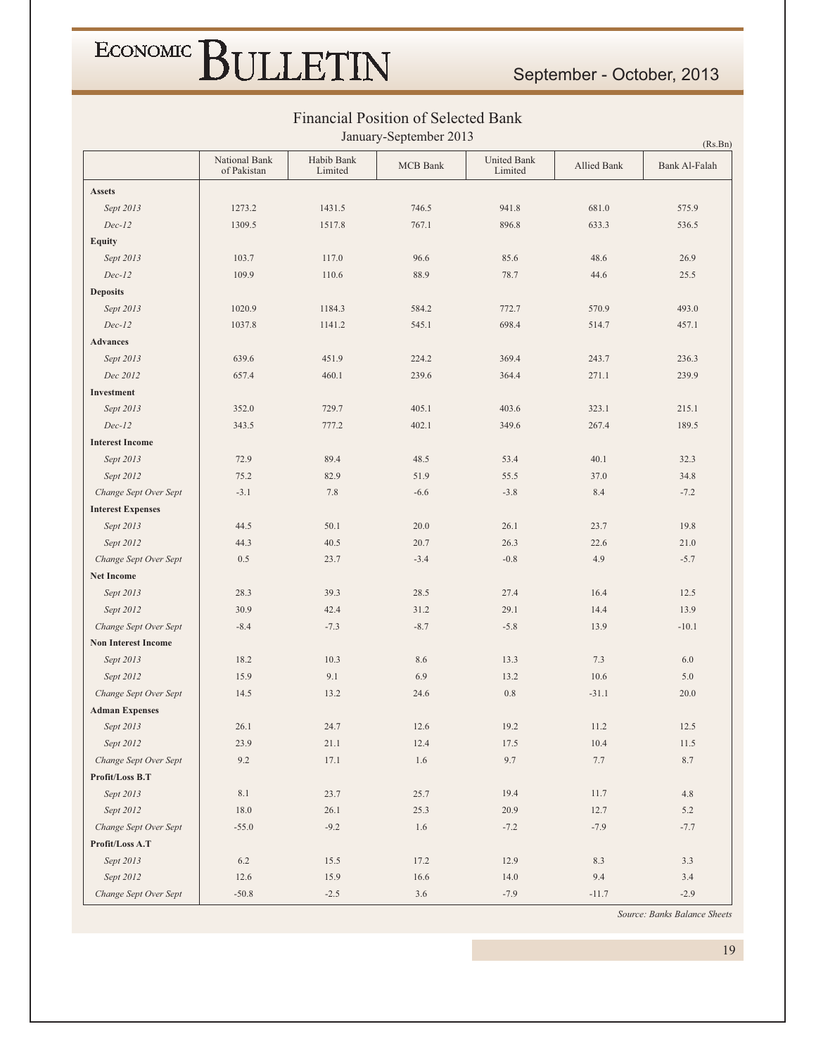### September - October, 2013

|                            |                              |                       | January-September 2013 |                        |             | (Rs.Bn)       |
|----------------------------|------------------------------|-----------------------|------------------------|------------------------|-------------|---------------|
|                            | National Bank<br>of Pakistan | Habib Bank<br>Limited | <b>MCB</b> Bank        | United Bank<br>Limited | Allied Bank | Bank Al-Falah |
| <b>Assets</b>              |                              |                       |                        |                        |             |               |
| Sept 2013                  | 1273.2                       | 1431.5                | 746.5                  | 941.8                  | 681.0       | 575.9         |
| $Dec-12$                   | 1309.5                       | 1517.8                | 767.1                  | 896.8                  | 633.3       | 536.5         |
| <b>Equity</b>              |                              |                       |                        |                        |             |               |
| Sept 2013                  | 103.7                        | 117.0                 | 96.6                   | 85.6                   | 48.6        | 26.9          |
| $Dec-12$                   | 109.9                        | 110.6                 | 88.9                   | 78.7                   | 44.6        | 25.5          |
| <b>Deposits</b>            |                              |                       |                        |                        |             |               |
| Sept 2013                  | 1020.9                       | 1184.3                | 584.2                  | 772.7                  | 570.9       | 493.0         |
| $Dec-12$                   | 1037.8                       | 1141.2                | 545.1                  | 698.4                  | 514.7       | 457.1         |
| <b>Advances</b>            |                              |                       |                        |                        |             |               |
| Sept 2013                  | 639.6                        | 451.9                 | 224.2                  | 369.4                  | 243.7       | 236.3         |
| Dec 2012                   | 657.4                        | 460.1                 | 239.6                  | 364.4                  | 271.1       | 239.9         |
| Investment                 |                              |                       |                        |                        |             |               |
| Sept 2013                  | 352.0                        | 729.7                 | 405.1                  | 403.6                  | 323.1       | 215.1         |
| $Dec-12$                   | 343.5                        | 777.2                 | 402.1                  | 349.6                  | 267.4       | 189.5         |
| <b>Interest Income</b>     |                              |                       |                        |                        |             |               |
| Sept 2013                  | 72.9                         | 89.4                  | 48.5                   | 53.4                   | 40.1        | 32.3          |
| Sept 2012                  | 75.2                         | 82.9                  | 51.9                   | 55.5                   | 37.0        | 34.8          |
| Change Sept Over Sept      | $-3.1$                       | 7.8                   | $-6.6$                 | $-3.8$                 | 8.4         | $-7.2$        |
| <b>Interest Expenses</b>   |                              |                       |                        |                        |             |               |
| Sept 2013                  | 44.5                         | 50.1                  | 20.0                   | 26.1                   | 23.7        | 19.8          |
| Sept 2012                  | 44.3                         | 40.5                  | 20.7                   | 26.3                   | 22.6        | 21.0          |
| Change Sept Over Sept      | 0.5                          | 23.7                  | $-3.4$                 | $-0.8$                 | 4.9         | $-5.7$        |
| <b>Net Income</b>          |                              |                       |                        |                        |             |               |
| Sept 2013                  | 28.3                         | 39.3                  | 28.5                   | 27.4                   | 16.4        | 12.5          |
| Sept 2012                  | 30.9                         | 42.4                  | 31.2                   | 29.1                   | 14.4        | 13.9          |
| Change Sept Over Sept      | $-8.4$                       | $-7.3$                | $-8.7$                 | $-5.8$                 | 13.9        | $-10.1$       |
| <b>Non Interest Income</b> |                              |                       |                        |                        |             |               |
| Sept 2013                  | 18.2                         | 10.3                  | 8.6                    | 13.3                   | 7.3         | 6.0           |
| Sept 2012                  | 15.9                         | 9.1                   | 6.9                    | 13.2                   | 10.6        | 5.0           |
| Change Sept Over Sept      | 14.5                         | 13.2                  | 24.6                   | $0.8\,$                | $-31.1$     | 20.0          |
| <b>Adman Expenses</b>      |                              |                       |                        |                        |             |               |
| Sept 2013                  | 26.1                         | 24.7                  | 12.6                   | 19.2                   | 11.2        | 12.5          |
| Sept 2012                  | 23.9                         | 21.1                  | 12.4                   | 17.5                   | 10.4        | 11.5          |
| Change Sept Over Sept      | 9.2                          | 17.1                  | $1.6\,$                | 9.7                    | $7.7\,$     | 8.7           |
| Profit/Loss B.T            |                              |                       |                        |                        |             |               |
| Sept 2013                  | $8.1\,$                      | 23.7                  | 25.7                   | 19.4                   | 11.7        | 4.8           |
| Sept 2012                  | 18.0                         | 26.1                  | 25.3                   | 20.9                   | 12.7        | 5.2           |
| Change Sept Over Sept      | $-55.0$                      | $-9.2$                | 1.6                    | $-7.2$                 | $-7.9$      | $-7.7$        |
| Profit/Loss A.T            |                              |                       |                        |                        |             |               |
| Sept 2013                  | $6.2\,$                      | 15.5                  | 17.2                   | 12.9                   | 8.3         | 3.3           |
| Sept 2012                  | 12.6                         | 15.9                  | 16.6                   | 14.0                   | 9.4         | 3.4           |
| Change Sept Over Sept      | $-50.8$                      | $-2.5$                | 3.6                    | $-7.9$                 | $-11.7$     | $-2.9$        |

#### Financial Position of Selected Bank

Source: Banks Balance Sheets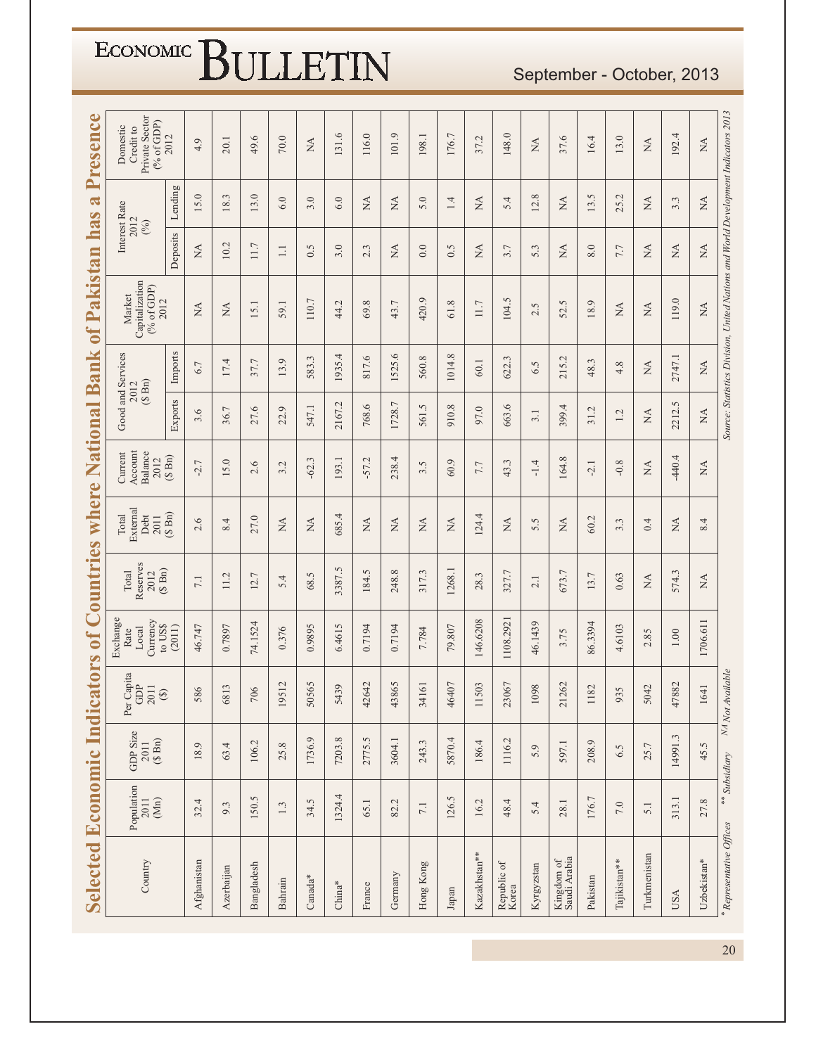| <b>Selected Economic</b>                                           |               | <b>Indic:</b>                 | ators                                         |                                                                                                     | of Countries                            | where                             |                                       | National                                | <b>Bank</b>                     | of Pakistan                                                                       |                              | $\boldsymbol{\mathcal{R}}$<br>has | Presence                                                |
|--------------------------------------------------------------------|---------------|-------------------------------|-----------------------------------------------|-----------------------------------------------------------------------------------------------------|-----------------------------------------|-----------------------------------|---------------------------------------|-----------------------------------------|---------------------------------|-----------------------------------------------------------------------------------|------------------------------|-----------------------------------|---------------------------------------------------------|
| $\begin{array}{c} \text{Population} \\ 2011 \end{array}$<br>$(Mn)$ |               | GDP Size<br>$2011$<br>(\$ Bn) | Capita<br>GDP<br>2011<br>$\circledast$<br>Per | Exchange<br>$\begin{array}{c} \text{Curency} \\ \text{to } \text{LSS} \end{array}$<br>Local<br>Rate | Reserves<br>$(S \nBn)$<br>Total<br>2012 | External<br>Debt<br>Total<br>2011 | Account<br>Balance<br>Current<br>2012 | Good and Services<br>$(S \nBn)$<br>2012 |                                 | Capitalization<br>(% of GDP)<br>Market<br>2012                                    |                              | Interest Rate<br>2012<br>(%)      | Private Sector<br>$(%$ of GDP)<br>Domestic<br>Credit to |
|                                                                    |               |                               |                                               | (2011)                                                                                              |                                         | $(S \nBn)$                        | $(\S$ Bn)                             | Exports                                 | Imports                         |                                                                                   | Deposits                     | Lending                           | 2012                                                    |
| 32.4                                                               |               | 18.9                          | 586                                           | 46.747                                                                                              | 7.1                                     | 2.6                               | $-2.7$                                | 3.6                                     | 6.7                             | $\stackrel{\Delta}{\approx}$                                                      | $\mathbb{A}$                 | 15.0                              | 4.9                                                     |
| 9.3                                                                |               | 63.4                          | 6813                                          | 0.7897                                                                                              | 11.2                                    | 8.4                               | 5.0                                   | 36.7                                    | 17.4                            | $\mathbb{A}$                                                                      | 10.2                         | 18.3                              | 20.1                                                    |
|                                                                    | 150.5         | 106.2                         | 706                                           | 74.1524                                                                                             | 12.7                                    | 27.0                              | 2.6                                   | 27.6                                    | 37.7                            | 15.1                                                                              | 11.7                         | 13.0                              | 49.6                                                    |
| 1.3                                                                |               | 25.8                          | 19512                                         | 0.376                                                                                               | 5.4                                     | <b>NA</b>                         | 3.2                                   | 22.9                                    | 13.9                            | 59.1                                                                              | $\Box$                       | 6.0                               | 70.0                                                    |
|                                                                    | 34.5          | 1736.9                        | 50565                                         | 0.9895                                                                                              | S<br>68.                                | $\stackrel{\Delta}{\simeq}$       | Ċ.<br>$-62$ .                         | 547.1                                   | 583.3                           | 110.7                                                                             | 0.5                          | 3.0                               | $\stackrel{\triangle}{\scriptstyle\sim}$                |
|                                                                    | 1324.4        | 7203.8                        | 5439                                          | 6.4615                                                                                              | 3387.5                                  | 685.4                             | 193.1                                 | 2167.2                                  | 1935.4                          | 44.2                                                                              | 3.0                          | 6.0                               | 131.6                                                   |
|                                                                    | 65.1          | 2775.5                        | 42642                                         | 0.7194                                                                                              | Ċ.<br>184.                              | $\stackrel{\Delta}{\simeq}$       | L,<br>.57.                            | 768.6                                   | 817.6                           | 69.8                                                                              | 2.3                          | $\stackrel{\Delta}{\simeq}$       | 116.0                                                   |
|                                                                    | 82.2          | 3604.1                        | 43865                                         | 0.7194                                                                                              | 248.8                                   | $\stackrel{\Delta}{\approx}$      | 238.4                                 | 1728.7                                  | 1525.6                          | 43.7                                                                              | $\stackrel{\Delta}{\approx}$ | <b>NA</b>                         | 101.9                                                   |
|                                                                    | $7.1\,$       | 243.3                         | 34161                                         | 7.784                                                                                               | 317.3                                   | $\stackrel{\Delta}{\approx}$      | 3.5                                   | 561.5                                   | 560.8                           | 420.9                                                                             | 0.0                          | 5.0                               | 198.1                                                   |
|                                                                    | 126.5         | 5870.4                        | 46407                                         | 79.807                                                                                              | 1268.1                                  | NA                                | 60.9                                  | 910.8                                   | 1014.8                          | $\infty$<br>$\overline{6}$                                                        | 0.5                          | 1.4                               | 176.7                                                   |
|                                                                    | 16.2          | 186.4                         | 11503                                         | 146.6208                                                                                            | 28.3                                    | 124.4                             | 7.7                                   | 97.0                                    | 60.1                            | 11.7                                                                              | ₹                            | $\mathbb{A}$                      | 37.2                                                    |
|                                                                    | 48.4          | 1116.2                        | 23067                                         | 1108.292                                                                                            | 327.7                                   | $\stackrel{\Delta}{\approx}$      | 43.3                                  | 663.6                                   | 622.3                           | 104.5                                                                             | 3.7                          | 5.4                               | 148.0                                                   |
|                                                                    | 5.4           | 5.9                           | 098                                           | 46.1439                                                                                             | 2.1                                     | 5.5                               | $-1.4$                                | 3.1                                     | 6.5                             | 2.5                                                                               | 5.3                          | 12.8                              | $\stackrel{\Delta}{\approx}$                            |
|                                                                    | 28.1          | 597.1                         | 21262                                         | 3.75                                                                                                | 673.7                                   | $\mathbb{X}^{\mathsf{A}}$         | 164.8                                 | 399.4                                   | 215.2                           | S.<br>52.                                                                         | $\stackrel{\Delta}{\approx}$ | $\stackrel{\Delta}{\approx}$      | 37.6                                                    |
|                                                                    | 176.7         | 208.9                         | 1182                                          | 86.3394                                                                                             | 13.7                                    | 60.2                              | $-2.1$                                | 31.2                                    | 48.3                            | $\mathcal{O}$<br>18.                                                              | 8.0                          | 13.5                              | 16.4                                                    |
|                                                                    | $7.0\,$       | 6.5                           | 935                                           | 4.6103                                                                                              | 0.63                                    | 3.3                               | $\infty$<br>$\overline{Q}$            | L,<br>$\overline{\phantom{a}}$          | 4.8                             | <b>NA</b>                                                                         | 7.7                          | 25.2                              | 13.0                                                    |
|                                                                    | 5.1           | 25.7                          | 5042                                          | 2.85                                                                                                | $\stackrel{\Delta}{\simeq}$             | 0.4                               | $\stackrel{\Delta}{\approx}$          | $\stackrel{\Delta}{\approx}$            | $\stackrel{\triangle}{\approx}$ | $\stackrel{\Delta}{\simeq}$                                                       | $\stackrel{\Delta}{\approx}$ | $\stackrel{\Delta}{\approx}$      | $\stackrel{\triangle}{\approx}$                         |
|                                                                    | 313.1         | 14991.3                       | 47882                                         | $1.00\,$                                                                                            | 574.3                                   | $\mathbb{A}$                      | $-440.4$                              | 2212.5                                  | 2747.1                          | 119.0                                                                             | $\stackrel{\Delta}{\approx}$ | 3.3                               | 192.4                                                   |
|                                                                    | 27.8          | 45.5                          | [64]                                          | 1706.611                                                                                            | $\stackrel{\Delta}{\approx}$            | 8.4                               | $\stackrel{\Delta}{\approx}$          | NA                                      | $\lesssim$                      | $\rm \stackrel{AA}{\sim}$                                                         | $\lesssim$                   | $\lesssim$                        | NA                                                      |
|                                                                    | ** Subsidiary |                               | NA Not Available                              |                                                                                                     |                                         |                                   |                                       |                                         |                                 | Source: Statistics Division, United Nations and World Development Indicators 2013 |                              |                                   |                                                         |

September - October, 2013

 $20<sup>°</sup>$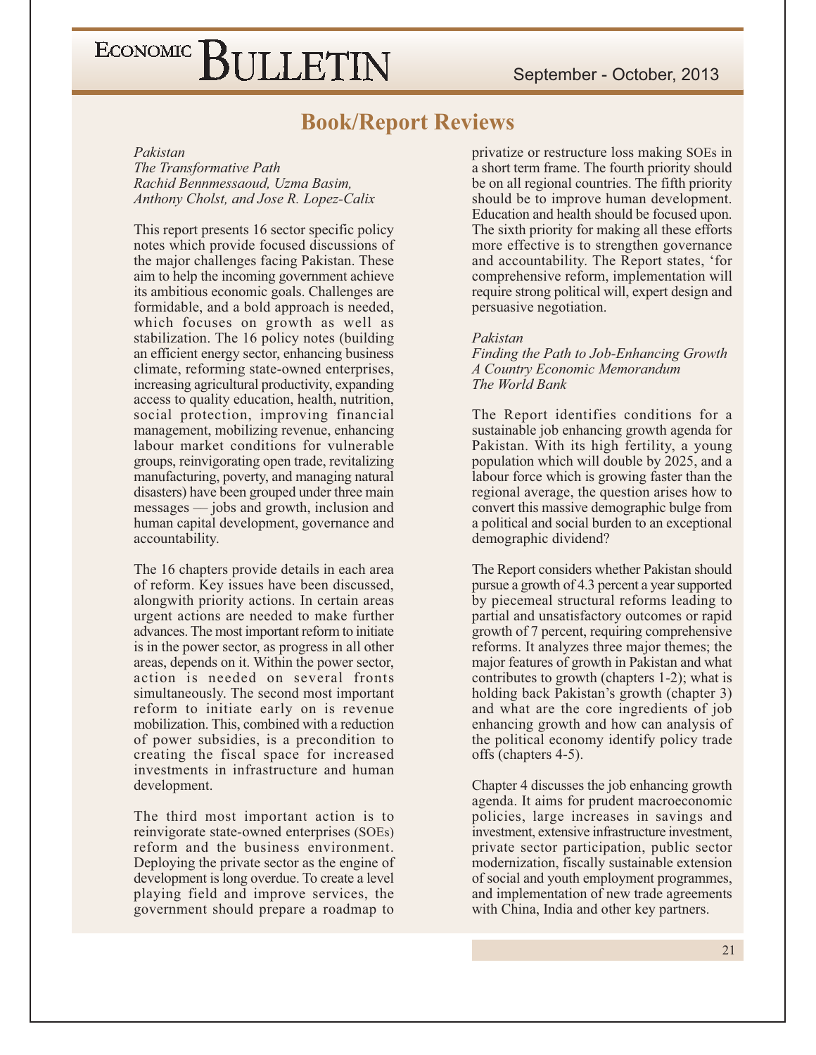### **Book/Report Reviews**

#### Pakistan

The Transformative Path Rachid Bennmessaoud, Uzma Basim, Anthony Cholst, and Jose R. Lopez-Calix

This report presents 16 sector specific policy notes which provide focused discussions of the major challenges facing Pakistan. These aim to help the incoming government achieve its ambitious economic goals. Challenges are formidable, and a bold approach is needed, which focuses on growth as well as stabilization. The 16 policy notes (building an efficient energy sector, enhancing business climate, reforming state-owned enterprises, increasing agricultural productivity, expanding access to quality education, health, nutrition, social protection, improving financial management, mobilizing revenue, enhancing labour market conditions for vulnerable groups, reinvigorating open trade, revitalizing manufacturing, poverty, and managing natural disasters) have been grouped under three main messages — jobs and growth, inclusion and human capital development, governance and accountability.

The 16 chapters provide details in each area of reform. Key issues have been discussed, alongwith priority actions. In certain areas urgent actions are needed to make further advances. The most important reform to initiate is in the power sector, as progress in all other areas, depends on it. Within the power sector, action is needed on several fronts simultaneously. The second most important reform to initiate early on is revenue mobilization. This, combined with a reduction of power subsidies, is a precondition to creating the fiscal space for increased investments in infrastructure and human development.

The third most important action is to reinvigorate state-owned enterprises (SOEs) reform and the business environment. Deploying the private sector as the engine of development is long overdue. To create a level playing field and improve services, the government should prepare a roadmap to

privatize or restructure loss making SOEs in a short term frame. The fourth priority should be on all regional countries. The fifth priority should be to improve human development. Education and health should be focused upon. The sixth priority for making all these efforts more effective is to strengthen governance and accountability. The Report states, 'for comprehensive reform, implementation will require strong political will, expert design and persuasive negotiation.

#### Pakistan

Finding the Path to Job-Enhancing Growth A Country Economic Memorandum The World Bank

The Report identifies conditions for a sustainable job enhancing growth agenda for Pakistan. With its high fertility, a young population which will double by 2025, and a labour force which is growing faster than the regional average, the question arises how to convert this massive demographic bulge from a political and social burden to an exceptional demographic dividend?

The Report considers whether Pakistan should pursue a growth of 4.3 percent a year supported by piecemeal structural reforms leading to partial and unsatisfactory outcomes or rapid growth of 7 percent, requiring comprehensive reforms. It analyzes three major themes; the major features of growth in Pakistan and what contributes to growth (chapters 1-2); what is holding back Pakistan's growth (chapter 3) and what are the core ingredients of job enhancing growth and how can analysis of the political economy identify policy trade offs (chapters 4-5).

Chapter 4 discusses the job enhancing growth agenda. It aims for prudent macroeconomic policies, large increases in savings and investment, extensive infrastructure investment, private sector participation, public sector modernization, fiscally sustainable extension of social and youth employment programmes, and implementation of new trade agreements with China, India and other key partners.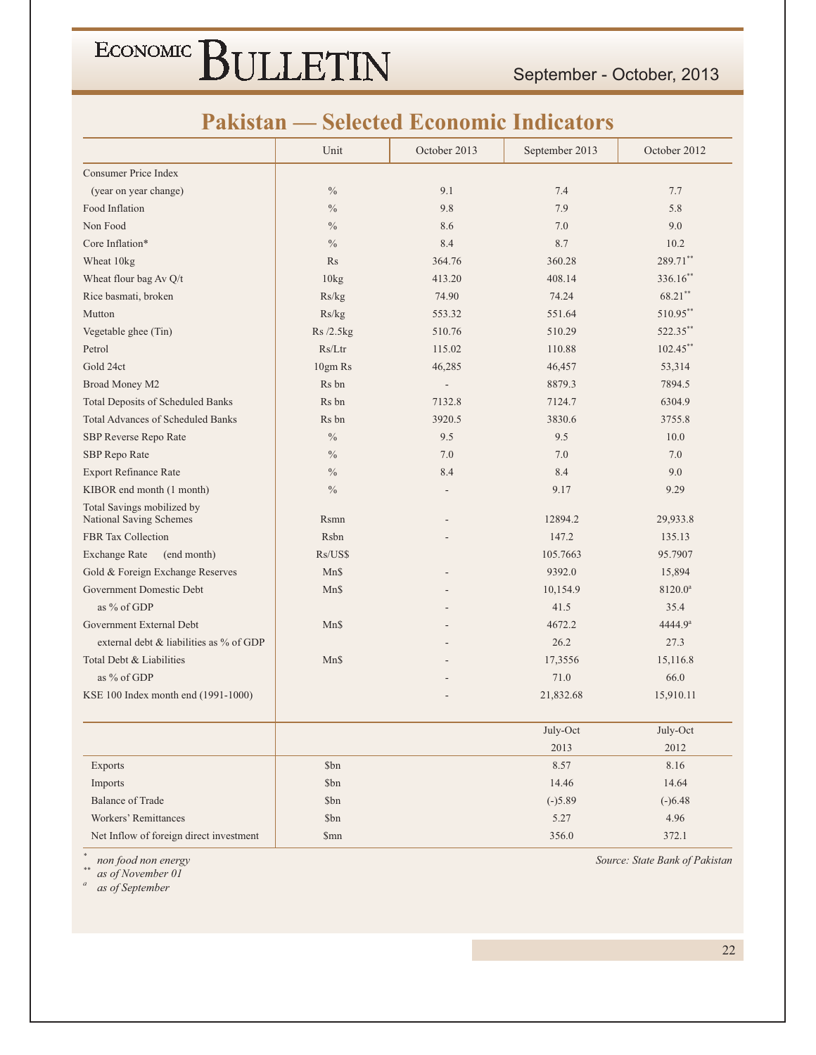September - October, 2013

### **Pakistan — Selected Economic Indicators**

|                                          | Unit          | October 2013             | September 2013 | October 2012        |
|------------------------------------------|---------------|--------------------------|----------------|---------------------|
| <b>Consumer Price Index</b>              |               |                          |                |                     |
| (year on year change)                    | $\frac{0}{0}$ | 9.1                      | 7.4            | 7.7                 |
| Food Inflation                           | $\%$          | 9.8                      | 7.9            | 5.8                 |
| Non Food                                 | $\frac{0}{0}$ | 8.6                      | 7.0            | 9.0                 |
| Core Inflation*                          | $\frac{0}{0}$ | 8.4                      | 8.7            | 10.2                |
| Wheat 10kg                               | Rs            | 364.76                   | 360.28         | 289.71**            |
| Wheat flour bag Av Q/t                   | 10kg          | 413.20                   | 408.14         | 336.16**            |
| Rice basmati, broken                     | Rs/kg         | 74.90                    | 74.24          | 68.21**             |
| Mutton                                   | Rs/kg         | 553.32                   | 551.64         | 510.95**            |
| Vegetable ghee (Tin)                     | Rs /2.5kg     | 510.76                   | 510.29         | 522.35**            |
| Petrol                                   | Rs/Ltr        | 115.02                   | 110.88         | $102.45$ **         |
| Gold 24ct                                | 10gm Rs       | 46,285                   | 46,457         | 53,314              |
| Broad Money M2                           | Rs bn         | $\overline{\phantom{a}}$ | 8879.3         | 7894.5              |
| <b>Total Deposits of Scheduled Banks</b> | Rs bn         | 7132.8                   | 7124.7         | 6304.9              |
| <b>Total Advances of Scheduled Banks</b> | Rs bn         | 3920.5                   | 3830.6         | 3755.8              |
| SBP Reverse Repo Rate                    | $\frac{0}{0}$ | 9.5                      | 9.5            | 10.0                |
| SBP Repo Rate                            | $\frac{0}{0}$ | 7.0                      | 7.0            | 7.0                 |
| <b>Export Refinance Rate</b>             | $\frac{0}{0}$ | 8.4                      | 8.4            | 9.0                 |
| KIBOR end month (1 month)                | $\frac{0}{0}$ |                          | 9.17           | 9.29                |
| Total Savings mobilized by               |               |                          |                |                     |
| <b>National Saving Schemes</b>           | Rsmn          |                          | 12894.2        | 29,933.8            |
| <b>FBR</b> Tax Collection                | Rsbn          |                          | 147.2          | 135.13              |
| (end month)<br><b>Exchange Rate</b>      | Rs/US\$       |                          | 105.7663       | 95.7907             |
| Gold & Foreign Exchange Reserves         | Mn\$          |                          | 9392.0         | 15,894              |
| Government Domestic Debt                 | Mn\$          |                          | 10,154.9       | 8120.0 <sup>a</sup> |
| as % of GDP                              |               |                          | 41.5           | 35.4                |
| Government External Debt                 | Mn\$          |                          | 4672.2         | 4444.9 <sup>a</sup> |
| external debt & liabilities as % of GDP  |               |                          | 26.2           | 27.3                |
| Total Debt & Liabilities                 | Mn\$          |                          | 17,3556        | 15,116.8            |
| as % of GDP                              |               |                          | 71.0           | 66.0                |
| KSE 100 Index month end (1991-1000)      |               |                          | 21,832.68      | 15,910.11           |
|                                          |               |                          | July-Oct       | July-Oct            |
|                                          |               |                          | 2013           | 2012                |
| Exports                                  | \$bn          |                          | 8.57           | 8.16                |
| Imports                                  | \$bn          |                          | 14.46          | 14.64               |
| <b>Balance of Trade</b>                  | \$bn          |                          | $(-)5.89$      | $(-)6.48$           |
| Workers' Remittances                     | \$bn          |                          | 5.27           | 4.96                |
| Net Inflow of foreign direct investment  | \$mn          |                          | 356.0          | 372.1               |

non food non energy

 $\ast\ast$ as of November 01

 $\boldsymbol{a}$ as of September Source: State Bank of Pakistan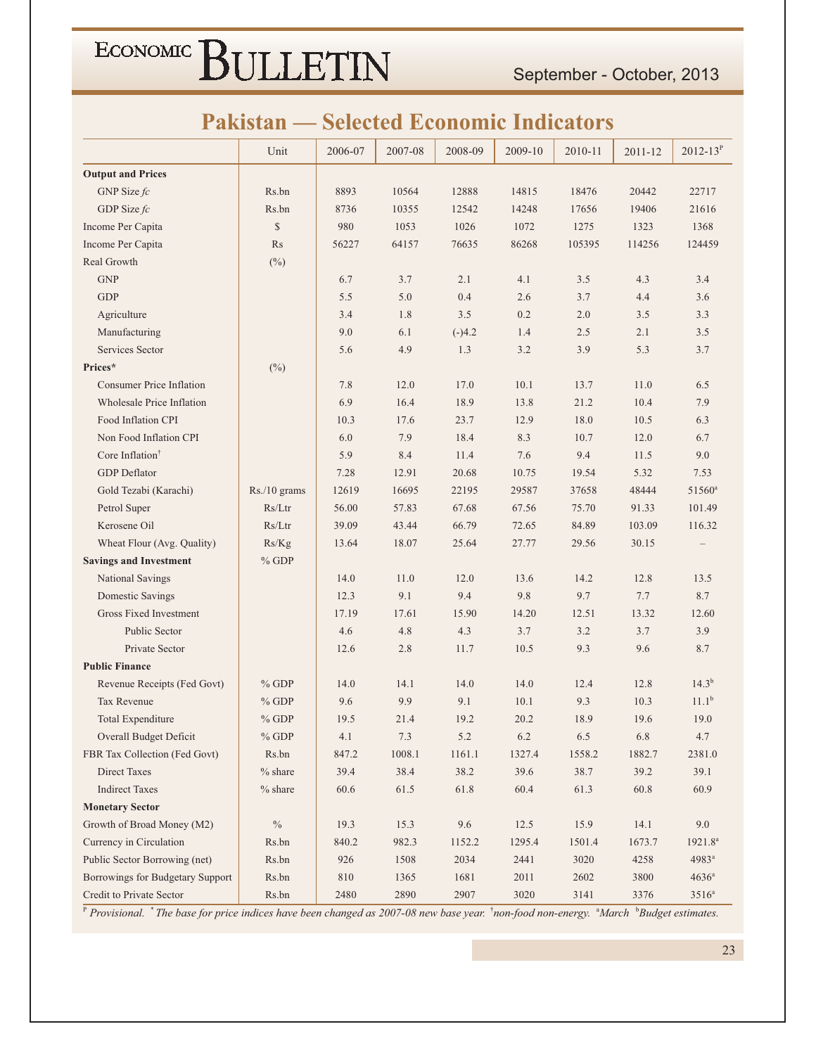September - October, 2013

### **Pakistan — Selected Economic Indicators**

|                                  | Unit           | 2006-07 | 2007-08 | 2008-09  | 2009-10 | 2010-11 | 2011-12  | $2012 - 13^{P}$     |
|----------------------------------|----------------|---------|---------|----------|---------|---------|----------|---------------------|
| <b>Output and Prices</b>         |                |         |         |          |         |         |          |                     |
| GNP Size $fc$                    | Rs.bn          | 8893    | 10564   | 12888    | 14815   | 18476   | 20442    | 22717               |
| GDP Size $fc$                    | Rs.bn          | 8736    | 10355   | 12542    | 14248   | 17656   | 19406    | 21616               |
| Income Per Capita                | \$             | 980     | 1053    | 1026     | 1072    | 1275    | 1323     | 1368                |
| Income Per Capita                | Rs             | 56227   | 64157   | 76635    | 86268   | 105395  | 114256   | 124459              |
| Real Growth                      | $(\%)$         |         |         |          |         |         |          |                     |
| <b>GNP</b>                       |                | 6.7     | 3.7     | 2.1      | 4.1     | 3.5     | 4.3      | 3.4                 |
| <b>GDP</b>                       |                | 5.5     | 5.0     | 0.4      | 2.6     | 3.7     | 4.4      | 3.6                 |
| Agriculture                      |                | 3.4     | 1.8     | 3.5      | 0.2     | 2.0     | 3.5      | 3.3                 |
| Manufacturing                    |                | 9.0     | 6.1     | $(-)4.2$ | 1.4     | 2.5     | 2.1      | 3.5                 |
| Services Sector                  |                | 5.6     | 4.9     | 1.3      | 3.2     | 3.9     | 5.3      | 3.7                 |
| Prices*                          | $(\%)$         |         |         |          |         |         |          |                     |
| <b>Consumer Price Inflation</b>  |                | 7.8     | 12.0    | 17.0     | 10.1    | 13.7    | 11.0     | 6.5                 |
| Wholesale Price Inflation        |                | 6.9     | 16.4    | 18.9     | 13.8    | 21.2    | 10.4     | 7.9                 |
| Food Inflation CPI               |                | 10.3    | 17.6    | 23.7     | 12.9    | 18.0    | 10.5     | 6.3                 |
| Non Food Inflation CPI           |                | 6.0     | 7.9     | 18.4     | 8.3     | 10.7    | 12.0     | 6.7                 |
| Core Inflation <sup>†</sup>      |                | 5.9     | 8.4     | 11.4     | 7.6     | 9.4     | 11.5     | 9.0                 |
| <b>GDP</b> Deflator              |                | 7.28    | 12.91   | 20.68    | 10.75   | 19.54   | 5.32     | 7.53                |
| Gold Tezabi (Karachi)            | $Rs./10$ grams | 12619   | 16695   | 22195    | 29587   | 37658   | 48444    | 51560 <sup>a</sup>  |
| Petrol Super                     | Rs/Ltr         | 56.00   | 57.83   | 67.68    | 67.56   | 75.70   | 91.33    | 101.49              |
| Kerosene Oil                     | Rs/Ltr         | 39.09   | 43.44   | 66.79    | 72.65   | 84.89   | 103.09   | 116.32              |
| Wheat Flour (Avg. Quality)       | Rs/Kg          | 13.64   | 18.07   | 25.64    | 27.77   | 29.56   | 30.15    |                     |
| <b>Savings and Investment</b>    | $%$ GDP        |         |         |          |         |         |          |                     |
| National Savings                 |                | 14.0    | 11.0    | 12.0     | 13.6    | 14.2    | 12.8     | 13.5                |
| Domestic Savings                 |                | 12.3    | 9.1     | 9.4      | 9.8     | 9.7     | 7.7      | 8.7                 |
| Gross Fixed Investment           |                | 17.19   | 17.61   | 15.90    | 14.20   | 12.51   | 13.32    | 12.60               |
| Public Sector                    |                | 4.6     | 4.8     | 4.3      | 3.7     | 3.2     | 3.7      | 3.9                 |
| Private Sector                   |                | 12.6    | 2.8     | 11.7     | 10.5    | 9.3     | 9.6      | 8.7                 |
| <b>Public Finance</b>            |                |         |         |          |         |         |          |                     |
| Revenue Receipts (Fed Govt)      | $%$ GDP        | 14.0    | 14.1    | 14.0     | 14.0    | 12.4    | 12.8     | $14.3^{b}$          |
| Tax Revenue                      | $%$ GDP        | 9.6     | 9.9     | 9.1      | 10.1    | 9.3     | 10.3     | $11.1^{\rm b}$      |
| Total Expenditure                | $%$ GDP        | 19.5    | 21.4    | 19.2     | 20.2    | 18.9    | 19.6     | 19.0                |
| Overall Budget Deficit           | $\%$ GDP       | 4.1     | 7.3     | 5.2      | 6.2     | 6.5     | 6.8      | 4.7                 |
| FBR Tax Collection (Fed Govt)    | Rs.bn          | 847.2   | 1008.1  | 1161.1   | 1327.4  | 1558.2  | 1882.7   | 2381.0              |
| <b>Direct Taxes</b>              | $%$ share      | 39.4    | 38.4    | 38.2     | 39.6    | 38.7    | 39.2     | 39.1                |
| <b>Indirect Taxes</b>            | $%$ share      | 60.6    | 61.5    | 61.8     | 60.4    | 61.3    | $60.8\,$ | 60.9                |
| <b>Monetary Sector</b>           |                |         |         |          |         |         |          |                     |
| Growth of Broad Money (M2)       | $\%$           | 19.3    | 15.3    | 9.6      | 12.5    | 15.9    | 14.1     | 9.0                 |
| Currency in Circulation          | Rs.bn          | 840.2   | 982.3   | 1152.2   | 1295.4  | 1501.4  | 1673.7   | 1921.8 <sup>a</sup> |
| Public Sector Borrowing (net)    | Rs.bn          | 926     | 1508    | 2034     | 2441    | 3020    | 4258     | $4983^{\circ}$      |
| Borrowings for Budgetary Support | Rs.bn          | 810     | 1365    | 1681     | 2011    | 2602    | 3800     | $4636^a$            |
| Credit to Private Sector         | Rs.bn          | 2480    | 2890    | 2907     | 3020    | 3141    | 3376     | $3516^a$            |

 $P$ Provisional. \* The base for price indices have been changed as 2007-08 new base year. \* non-food non-energy. \* March \* Budget estimates.